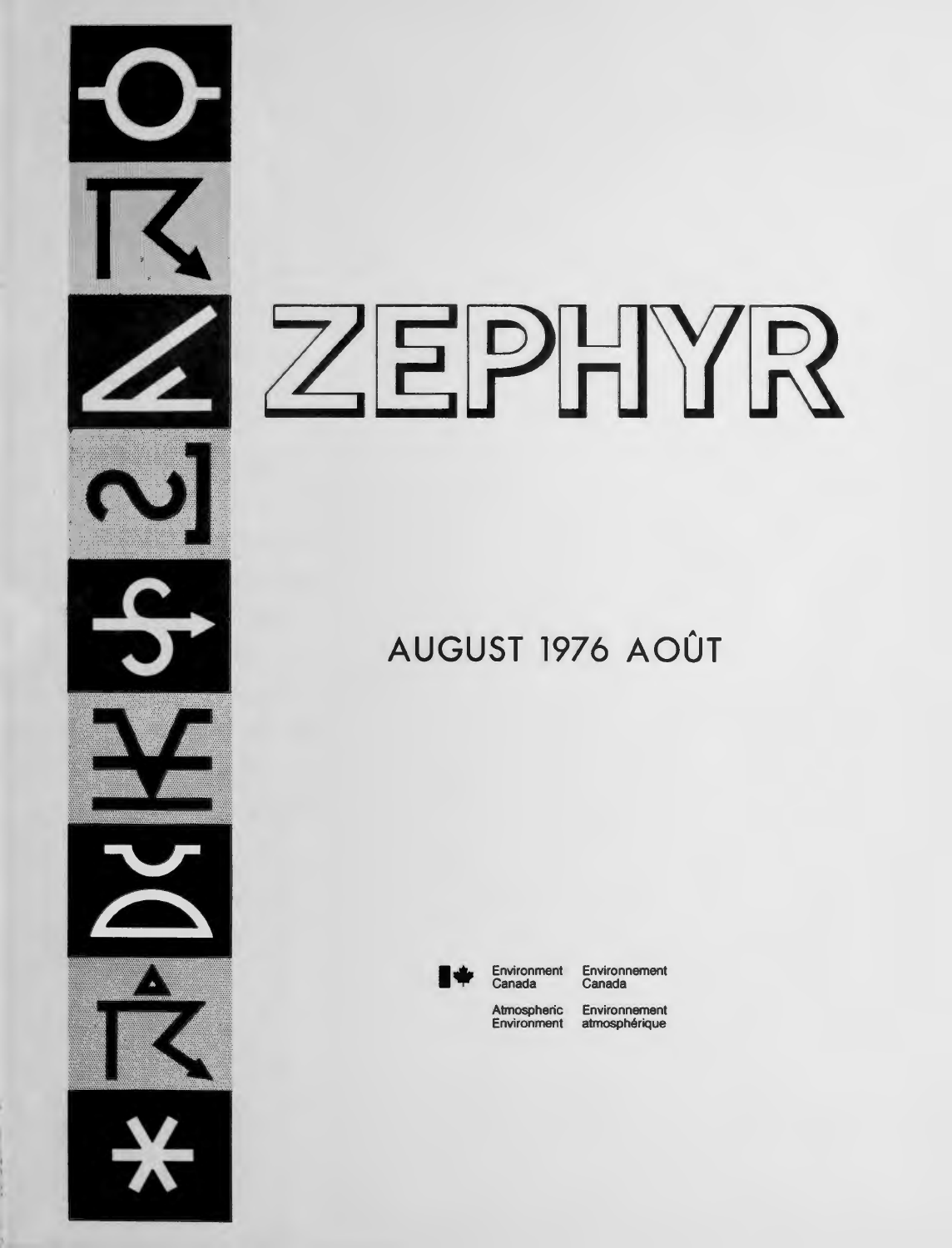# $\overline{\mathcal{U}}$ EPHYR

 $\bigcup$ 

 $\boldsymbol{r}$ 

# **AUGUST 1976 AOUT**



•• Environment Atmospheric Environment **Canada** 

Environnement Canada

**Environnement** atmosphérique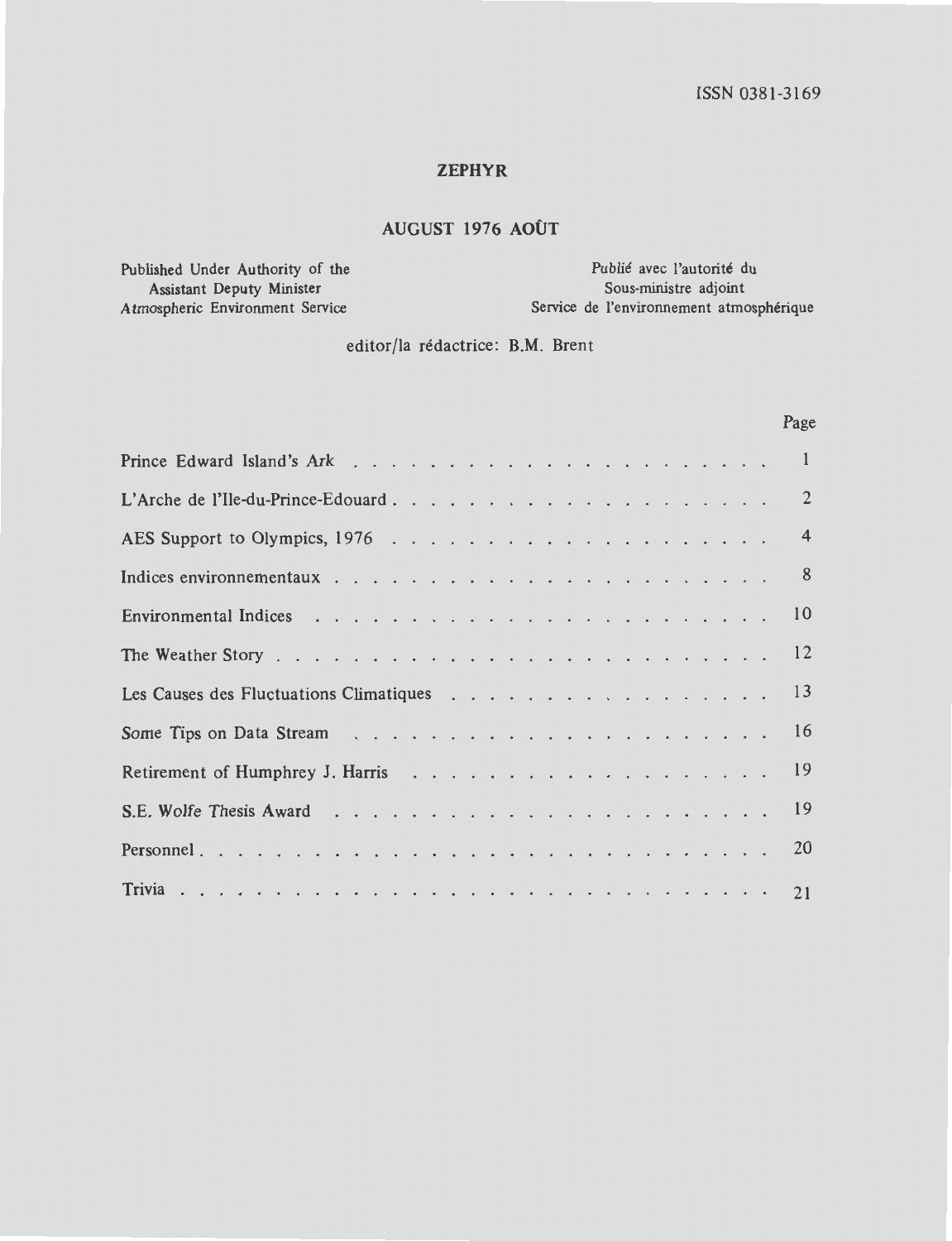Page

# **ZEPHYR**

# **AUGUST 1976 AOUT**

Published Under Authority of the Assistant Deputy Minister Atmospheric Environment Service

Publie avec l'autorite du Sous-ministre adjoint Service de l'environnement atmospherique

editor/la redactrice: B.M. Brent

| $\vert$                                    |  |
|--------------------------------------------|--|
|                                            |  |
| $\overline{4}$                             |  |
| 8 <sup>8</sup>                             |  |
|                                            |  |
|                                            |  |
| Les Causes des Fluctuations Climatiques 13 |  |
|                                            |  |
|                                            |  |
|                                            |  |
|                                            |  |
|                                            |  |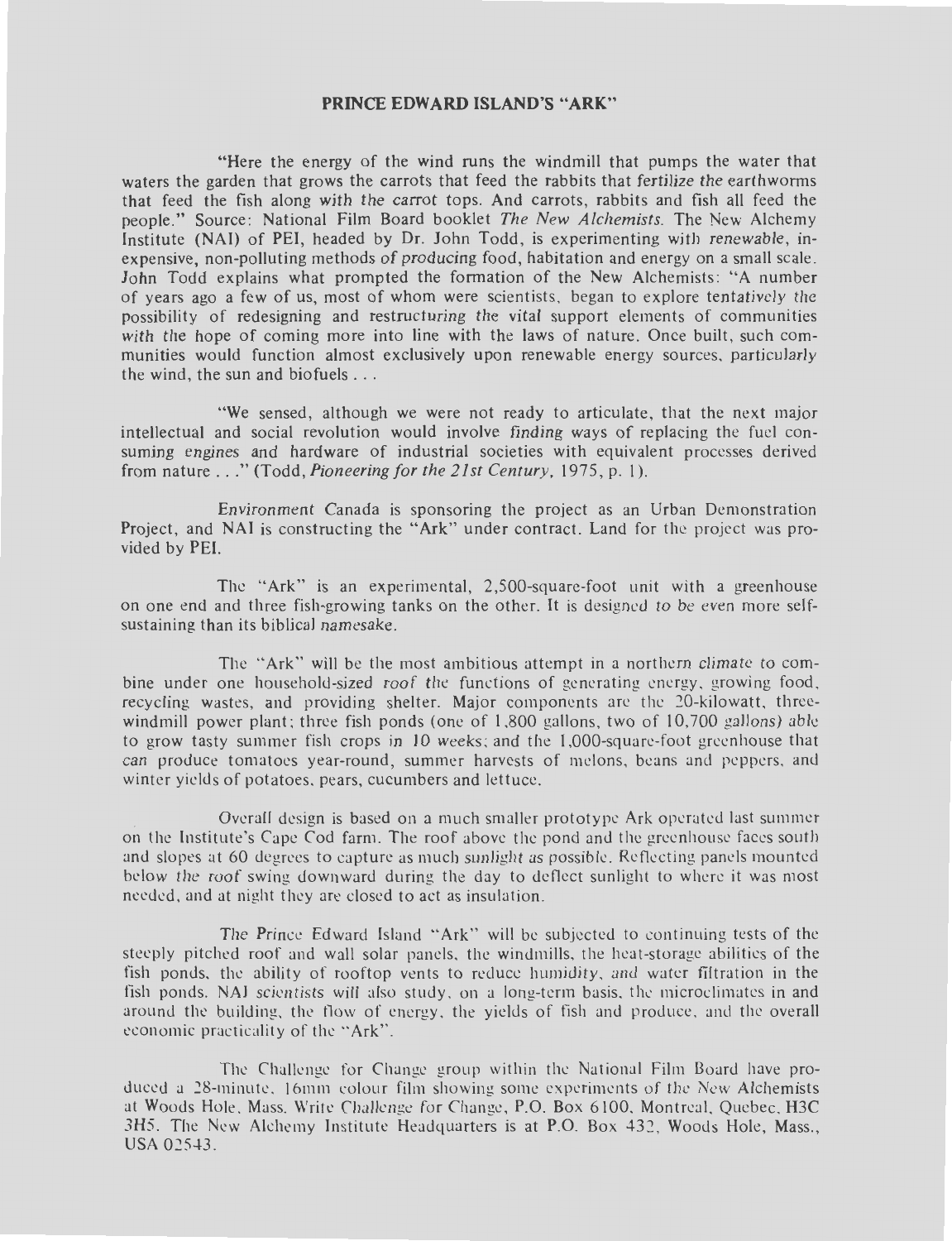#### **PRINCE EDWARD ISLAND'S "ARK"**

"Here the energy of the wind runs the windmill that pumps the water that waters the garden that grows the carrots that feed the rabbits that fertilize the earthworms that feed the fish along with the carrot tops. And carrots, rabbits and fish all feed the people." Source: National Film Board booklet *The New Alchemists*. The New Alchemy Institute (NAI) of PEI, headed by Dr. John Todd, is experimenting with renewable, inexpensive, non-polluting methods of producing food, habitation and energy on a small scale. John Todd explains what prompted the formation of the New Alchemists: " A number of years ago a few of us, most of whom were scientists, began to explore tentatively the possibility of redesigning and restructuring the vital support elements of communities with the hope of coming more into line with the laws of nature. Once built, such communities would function almost exclusively upon renewable energy sources, particularly the wind, the sun and biofuels .. .

"We sensed, although we were not ready to articulate, that the next major intellectual and social revolution would involve finding ways of replacing the fuel consuming engines and hardware of industrial societies with equivalent processes derived from nature ... " (Todd, *Pioneering for the 21st Century,* <sup>1975</sup> , p. 1).

Environment Canada is sponsoring the project as an Urban Demonstration Project, and NAI is constructing the "Ark" under contract. Land for the project was provided by PEI.

The "Ark" is an experimental, 2,500-square-foot unit with a greenhouse on one end and three fish-growing tanks on the other. It is designed to be even more selfsustaining than its biblical namesake.

The "Ark" will be the most ambitious attempt in a northern climate to combine under one household-sized roof the functions of generating energy, growing food, recycling wastes, and providing shelter. Major components are the 20-kilowatt, threewindmill power plant; three fish ponds (one of  $1,800$  gallons, two of  $10,700$  gallons) able to grow tasty summer fish crops in  $10$  weeks; and the  $1,000$ -square-foot greenhouse that can produce tomatoes year-round, summer harvests of melons, beans and peppers, and winter yields of potatoes, pears, cucumbers and lettuce.

Overall design is based on a much smaller prototype Ark operated last summer on the Institute's Cape Cod farm. The roof above the pond and the greenhouse faces south and slopes at 60 degrees to capture as much sunlight as possible. Reflecting panels mounted below the roof swing downward during the day to deflect sunlight to where it was most needed, and at night they are closed to act as insulation.

The Prince Edward Island "Ark" will be subjected to continuing tests of the steeply pitched roof and wall solar panels, the windmills, the heat-storage abilities of the fish ponds, the ability of rooftop vents to reduce humidity, and water filtration in the fish ponds. NAI scientists will also study, on a long-term basis, the microclimates in and around the building, the flow of energy, the yields of fish and produce, and the overall economic practicality of the "Ark".

The Challenge for Change group within the National Film Board have produced a 28-minute. 16mm colour film showing some experiments of the New Alchemists at Woods Hole, Mass. Write Challenge for Change, P.O. Box 6100, Montreal, Quebec, H3C ...H.5. The New Alchemy Institute Headquarters is at P.O. Box 432, Woods Hole, Mass., USA 02543.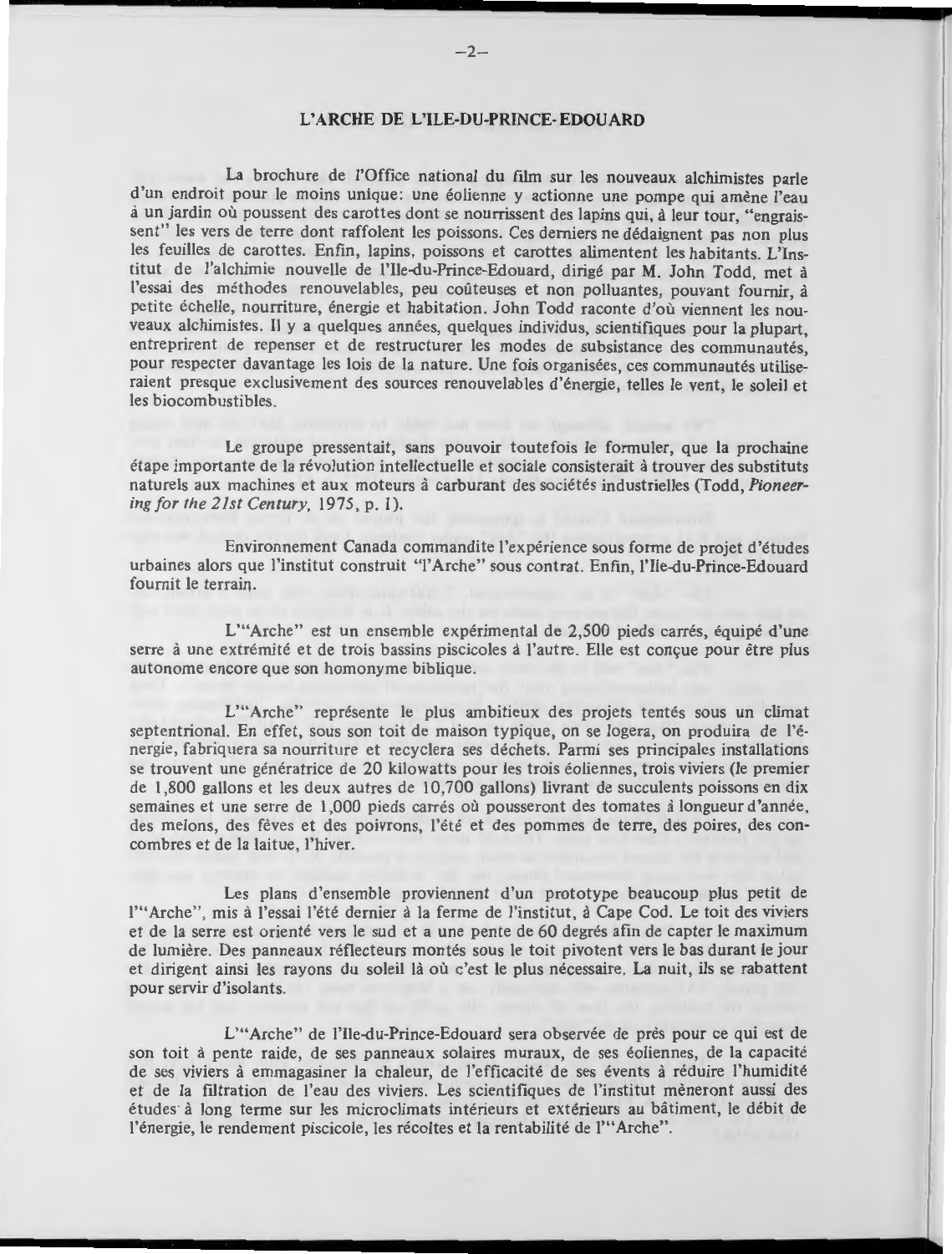## **L'ARCHE DE L'ILE-DU-PRINCE-EDOUARD**

La brochure de l'Office national du film sur les nouveaux alchimistes parle d'un endroit pour le moins unique: une éolienne y actionne une pompe qui amène l'eau à un jardin où poussent des carottes dont se nourrissent des lapins qui, à leur tour, "engraissent" les vers de terre dont raffolent les poissons. Ces derniers ne dédaignent pas non plus les feuilles de carottes. Enfin, lapins, poissons et carottes alimentent les habitants. L'Institut de l'alchimie nouvelle de !'Ile-du-Prince-Edouard, dirige par **M.** John Todd, met a l'essai des méthodes renouvelables, peu coûteuses et non polluantes, pouvant fournir, à petite échelle, nourriture, énergie et habitation. John Todd raconte d'où viennent les nouveaux alchimistes. Il y a quelques années, quelques individus, scientifiques pour la plupart, entreprirent de repenser et de restructurer les modes de subsistance des communautés, pour respecter davantage les lois de la nature. Une fois organisées, ces communautés utiliseraient presque exclusivement des sources renouvelables d 'energie, telles le vent, le soleil et Jes biocombustibles.

Le groupe pressentait, sans pouvoir toutefois le formuler, que la prochaine étape importante de la révolution intellectuelle et sociale consisterait à trouver des substituts naturels aux machines et aux moteurs a carburant des ocietes industrielles (Todd, *Pioneering for the 21st Century, 1975, p. 1).* 

Environnement Canada commandite !'experience sous forme de projet d'etudes urbaines alors que l'institut construit "l'Arche" sous contrat. Enfin, l'Ile-du-Prince-Edouard fournit le terrain.

L'"Arche" est un ensemble expérimental de 2,500 pieds carrés, équipé d'une serre à une extrémité et de trois bassins piscicoles à l'autre. Elle est conçue pour être plus autonome encore que son homonyme biblique.

L'"Arche" représente le plus ambitieux des projets tentés sous un climat septentrional. En effet, sous son toit de maison typique, on se logera, on produira de l'énergie, fa briq uera sa nourri ture et recyclera ses dechets. Parmi ses principales installations se trouvent une génératrice de 20 kilowatts pour les trois éoliennes, trois viviers (le premier de 1,800 gallons et les deux autres de 10,700 gallons) livrant de succulents poissons en dix semaines et une serre de 1,000 pieds carrés où pousseront des tomates à longueur d'année, des melons, des fèves et des poivrons, l'été et des pommes de terre, des poires, des concombres et de la laitue, l'hiver.

Les plans d'ensemble proviennent d'un prototype beaucoup plus petit de l'"Arche", mis à l'essai l'été dernier à la ferme de l'institut, à Cape Cod. Le toit des viviers et de la serre est orienté vers le sud et a une pente de 60 degrés afin de capter le maximum de lumière. Des panneaux réflecteurs montés sous le toit pivotent vers le bas durant le jour et dirigent ainsi les rayons du soleil là où c'est le plus nécessaire. La nuit, ils se rabattent pour servir d 'isolants.

L'"Arche" de !'Ile-du-Prince-Edouard sera observee de pres pour ce qui est de son toit à pente raide, de ses panneaux solaires muraux, de ses éoliennes, de la capacité de ses viviers à emmagasiner la chaleur, de l'efficacité de ses évents à réduire l'humidité et de la filtration de l'eau des viviers. Les scientifiques de l'institut meneront aussi des <sup>e</sup> tud es a long terme sur Jes microclimats in terieurs et exterieurs au batiment, le debit de l'énergie, le rendement piscicole, les récoltes et la rentabilité de l'"Arche".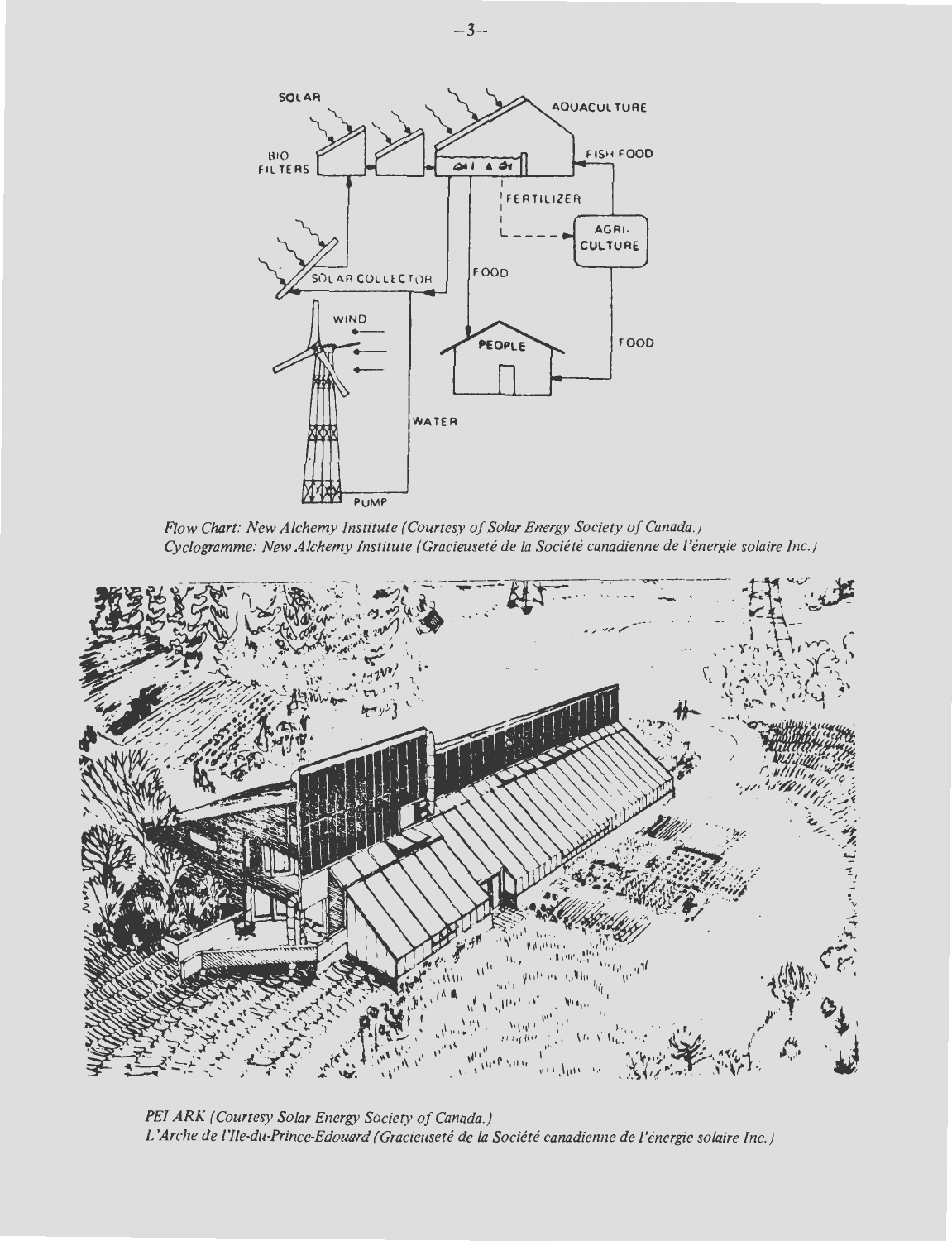

*Flow Chart: New Alchemy Institute (Courtesy of Solar Energy Society of Canada.) Cyclogramme: New Alchemy Institute (Gracieusete de la Societe canadienne de l'energie solaire Inc.)* 



*PEI ARK (Courtesy Solar Energy Society of Canada.) L 'Arche de l'I/e-d11-Pri11ce-Edo11ard (Gracieusete de la Societe canadienne de l'energie solaire Inc.)*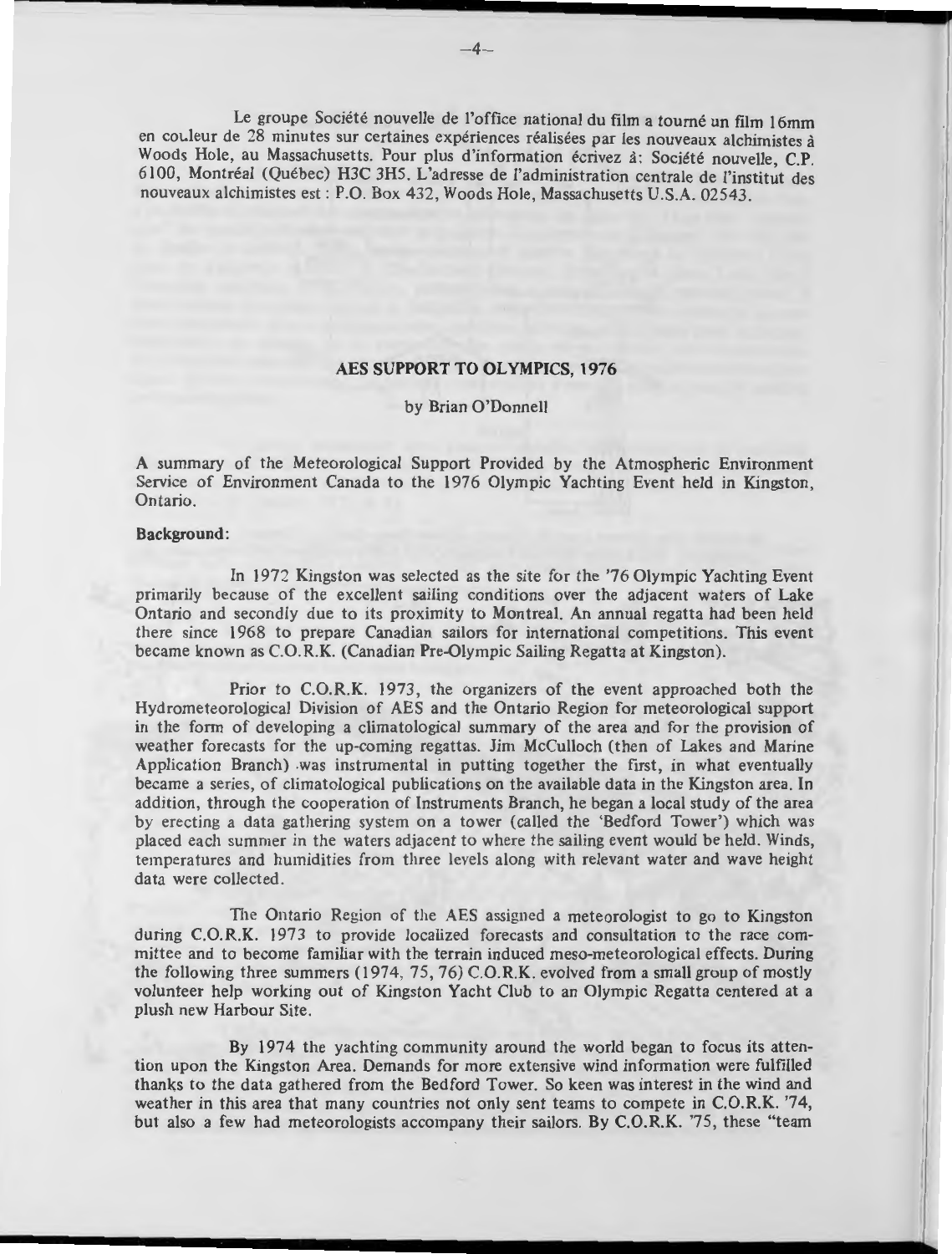Le groupe Société nouvelle de l'office national du film a tourné un film 16mm en couleur de 28 minutes sur certaines expériences réalisées par les nouveaux alchimistes à Woods Hole, au Massachusetts. Pour plus d'information écrivez à: Société nouvelle, C.P. 6100, Montreal (Quebec) H3C 3H5. L'adresse de !'administration centrale de l'institut des nouveaux alchimistes est : P.O. Box 432 , Woods Hole, Massachusetts U.S.A. 02543 .

#### **AES SUPPORT TO OLYMPICS, 1976**

#### by Brian O'Donnell

A summary of the Meteorological Support Provided by the Atmospheric Environment Service of Environment Canada to the 1976 Olympic Yachting Event held in Kingston, Ontario.

#### **Background:**

In 1972 Kingston was selected as the site for the '76 Olympic Yachting Event primarily because of the excellent sailing conditions over the adjacent waters of Lake Ontario and secondly due to its proximity to Montreal. An annual regatta had been held there since 1968 to prepare Canadian sailors for international competitions. This event became known as C.O.R.K. (Canadian Pre-Olympic Sailing Regatta at Kingston).

Prior to C.O.R.K. 1973 , the organizers of the event approached both the Hydrometeorological Division of AES and the Ontario Region for meteorological support in the form of developing a climatological summary of the area and for the provision of weather forecasts for the up-coming regattas. Jim McCulloch (then of Lakes and Marine Application Branch) was instrumental in putting together the first, in what eventually became a series, of climatological publications on the available data in the Kingston area. In addition, through the cooperation of Instruments Branch, he began a local study of the area by erecting a data gathering system on a tower (called the 'Bedford Tower') which was placed each summer in the waters adjacent to where the sailing event would be held. Winds, temperatures and humidities from three levels along with relevant water and wave height data were collected.

The Ontario Region of the AES assigned a meteorologist to go to Kingston during C.O.R.K. 1973 to provide localized forecasts and consultation to the race committee and to become familiar with the terrain induced meso-meteorological effects. During the following three summers (1974, 75, 76) C.O.R.K. evolved from a small group of mostly volunteer help working out of Kingston Yacht Club to an Olympic Regatta centered at a plush new Harbour Site.

By 1974 the yachting community around the world began to focus its attention upon the Kingston Area. Demands for more extensive wind information were fulfilled thanks to the data gathered from the Bedford Tower. So keen was interest in the wind and weather in this area that many countries not only sent teams to compete in C.O.R.K. '74, but also a few had meteorologists accompany their sailors. By C.O.R.K. '75, these "team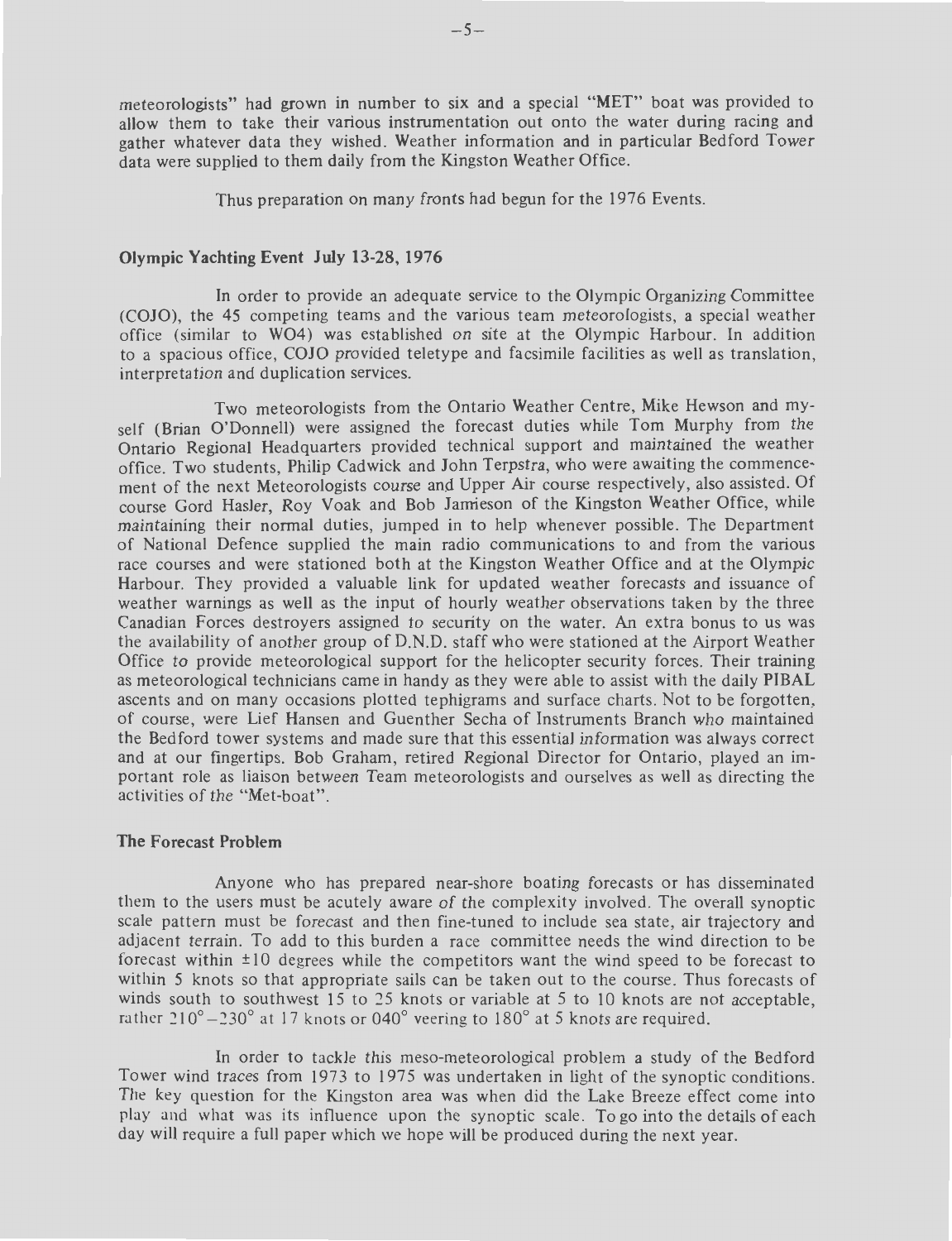meteorologists" had grown in number to six and a special "MET" boat was provided to allow them to take their various instrumentation out onto the water during racing and gather whatever data they wished. Weather information and in particular Bedford Tower data were supplied to them daily from the Kingston Weather Office.

Thus preparation on many fronts had begun for the 1976 Events.

#### **Olympic Yachting Event July 13-28, 1976**

In order to provide an adequate service to the Olympic Organizing Committee (COJO), the 45 competing teams and the various team meteorologists, a special weather office ( imilar to WO4) was established on site at the Olympic Harbour. In addition to a spacious office, COJO provided teletype and facsimile facilities as well as translation, interpretation and duplication services.

Two meteorologists from the Ontario Weather Centre, Mike Hewson and myself (Brian O'Donnell) were assigned the forecast duties while Tom Murphy from the Ontario Regional Headquarters provided technical support and maintained the weather office. Two students, Philip Cadwick and John Terpstra, who were awaiting the commencement of the next Meteorologists course and Upper Air course respectively, also assisted. Of course Gord Hasler, Roy Voak and Bob Jamieson of the Kingston Weather Office, while maintaining their normal duties, jumped in to help whenever possible. The Department of National Defence supplied the main radio communications to and from the various race courses and were stationed both at the Kingston Weather Office and at the Olympic Harbour. They provided a valuable link for updated weather forecasts and issuance of weather warnings as well as the input of hourly weather observations taken by the three Canadian Forces destroyers assigned to security on the water. An extra bonus to us was the availability of another group of D.N.D. staff who were stationed at the Airport Weather Office to provide meteorological support for the helicopter security forces. Their training as meteorological technicians came in handy as they were able to assist with the daily **PIBAL**  ascents and on many occasions plotted tephigrams and surface charts. Not to be forgotten, of course, were Lief Hansen and Guenther Secha of Instruments Branch who maintained the Bedford tower systems and made sure that this essential information was always correct and at our fingertips. Bob Graham, retired Regional Director for Ontario, played an important role as liaison between Team meteorologists and ourselves as well as directing the activities of the "Met-boat".

#### **The Forecast Problem**

Anyone who has prepared near-shore boating forecasts or has disseminated them to the users must be acutely aware of the complexity involved. The overall synoptic scale pattern must be forecast and then fine-tuned to include sea state, air trajectory and adjac nt terrain. To add to this burden a race committee needs the wind direction to be forecast within ±IO degrees while the competitors want the wind speed to be forecast to within 5 knots so that appropriate sails can be taken out to the course. Thus forecasts of winds south to southwest  $15$  to  $25$  knots or variable at 5 to 10 knots are not acceptable, rather  $210^{\circ} - 230^{\circ}$  at 17 knots or 040° veering to 180° at 5 knots are required.

In order to tackle this meso-meteorological problem a study of the Bedford Tower wind traces from 1973 to 1975 was undertaken in light of the synoptic conditions. The key question for the Kingston area was when did the Lake Breeze effect come into play and what was its influence upon the synoptic scale. To go into the details of each day will require a full paper which we hope will be produced during the next year.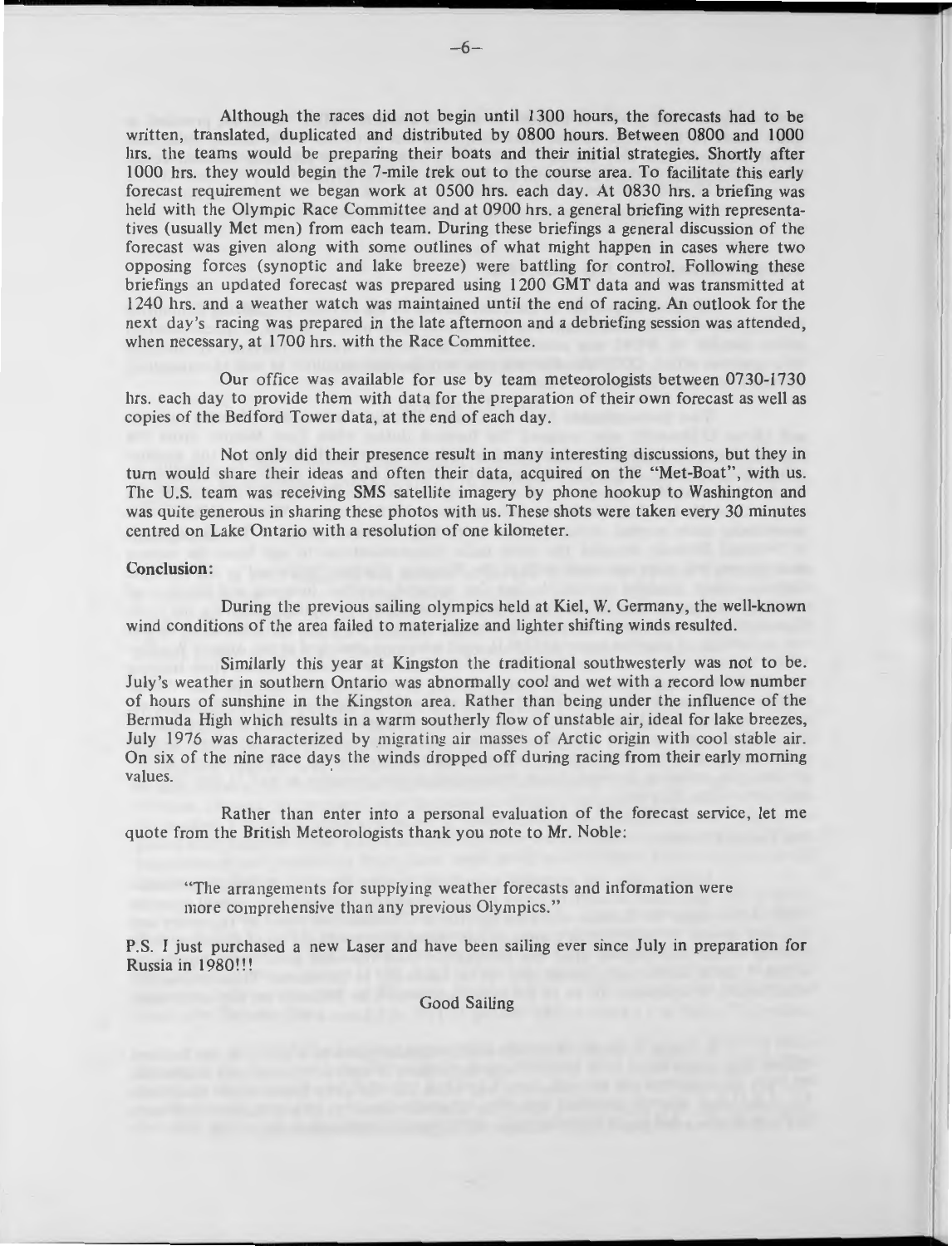Although the races did not begin until 1300 hours, the forecasts had to be written, translated, duplicated and distributed by 0800 hours. Between 0800 and 1000 hrs. the teams would be preparing their boats and their initial strategies. Shortly after 1000 hrs. they would begin the 7-mile trek out to the course area. To facilitate this early forecast requirement we began work at 0500 hrs. each day. At 0830 hrs. a briefing was held with the Olympic Race Committee and at 0900 hrs. a general briefing with representatives (usually Met men) from each team. During these briefings a general discussion of the forecast was given along with some outlines of what might happen in cases where two opposing forces (synoptic and lake breeze) were battling for control. Following these briefings an updated forecast was prepared using 1200 GMT data and was transmitted at 1240 hrs. and a weather watch was maintained until the end of racing. An outlook for the next day's racing was prepared in the late afternoon and a debriefing session was attended, when necessary, at 1700 hrs. with the Race Committee.

I I

Our office was available for use by team meteorologists between 0730-1730 hrs. each day to provide them with data for the preparation of their own forecast as well as copies of the Bedford Tower data, at the end of each day.

Not only did their presence result in many interesting discussions, but they in turn would share their ideas and often their data, acquired on the "Met-Boat", with us. The U.S. team was receiving SMS satellite imagery by phone hookup to Washington and was quite generous in sharing these photos with us. These shots were taken every 30 minutes centred on Lake Ontario with a resolution of one kilometer.

#### **Conclusion:**

During the previous sailing olympics held at Kiel, W. Germany, the well-known wind conditions of the area failed to materialize and lighter shifting winds resulted.

Similarly this year at Kingston the traditional southwesterly was not to be. July's weather in southern Ontario was abnormally cool and wet with a record low number of hours of sunshine in the Kingston area. Rather than being under the influence of the Bermuda High which results in a warm southerly flow of unstable air, ideal for lake breezes, July 1976 was characterized by migrating air masses of Arctic origin with cool stable air. On six of the nine race days the winds dropped off during racing from their early morning values.

Rather than enter into a personal evaluation of the forecast service, let me quote from the British Meteorologists thank you note to Mr. Noble:

"The arrangements for supplying weather forecasts and information were more comprehensive than any previous Olympics."

P.S. I just purchased a new Laser and have been sailing ever since July in preparation for Russia in 1980!!!

Good Sailing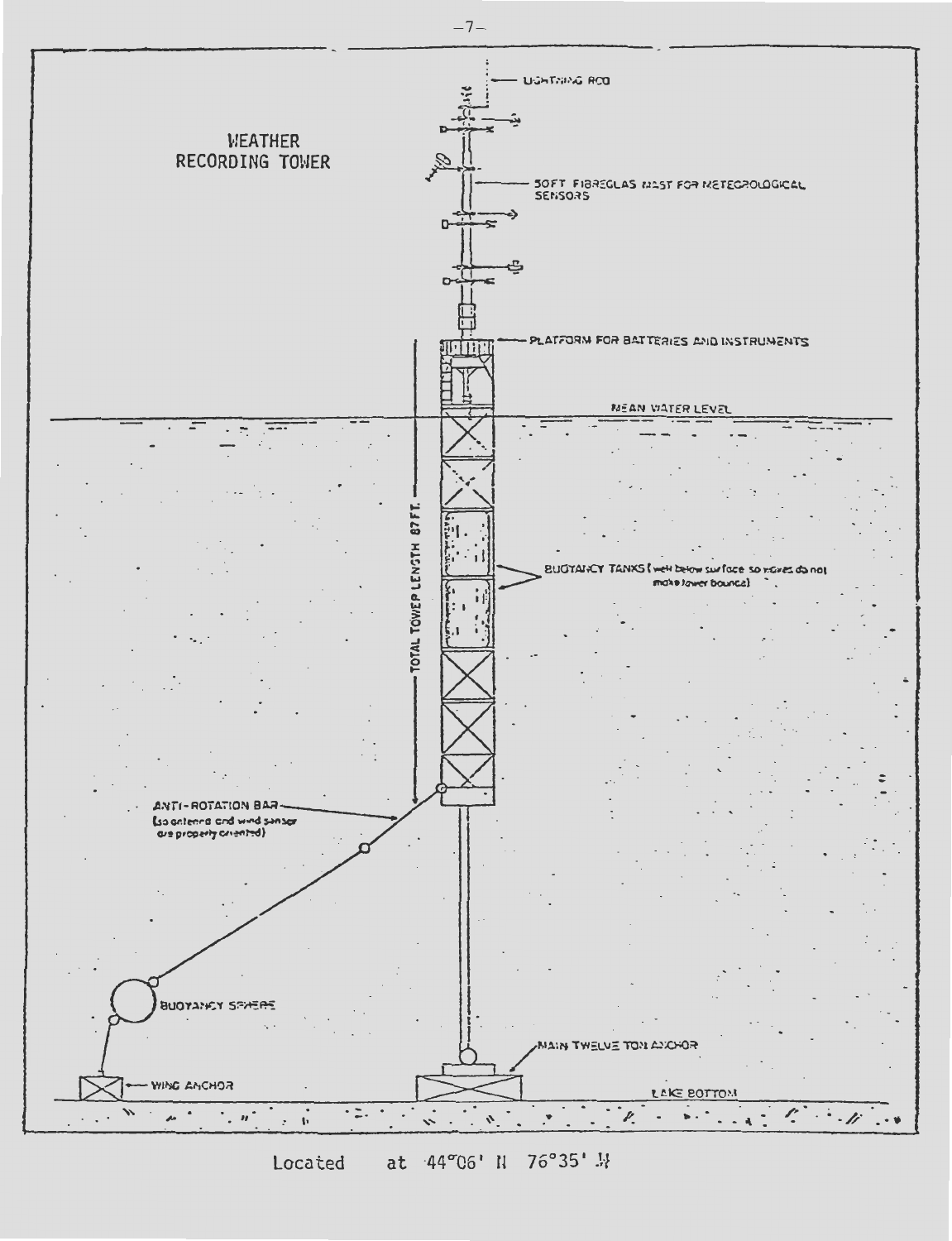

Located at 44°06' N 76°35' M

 $-7-$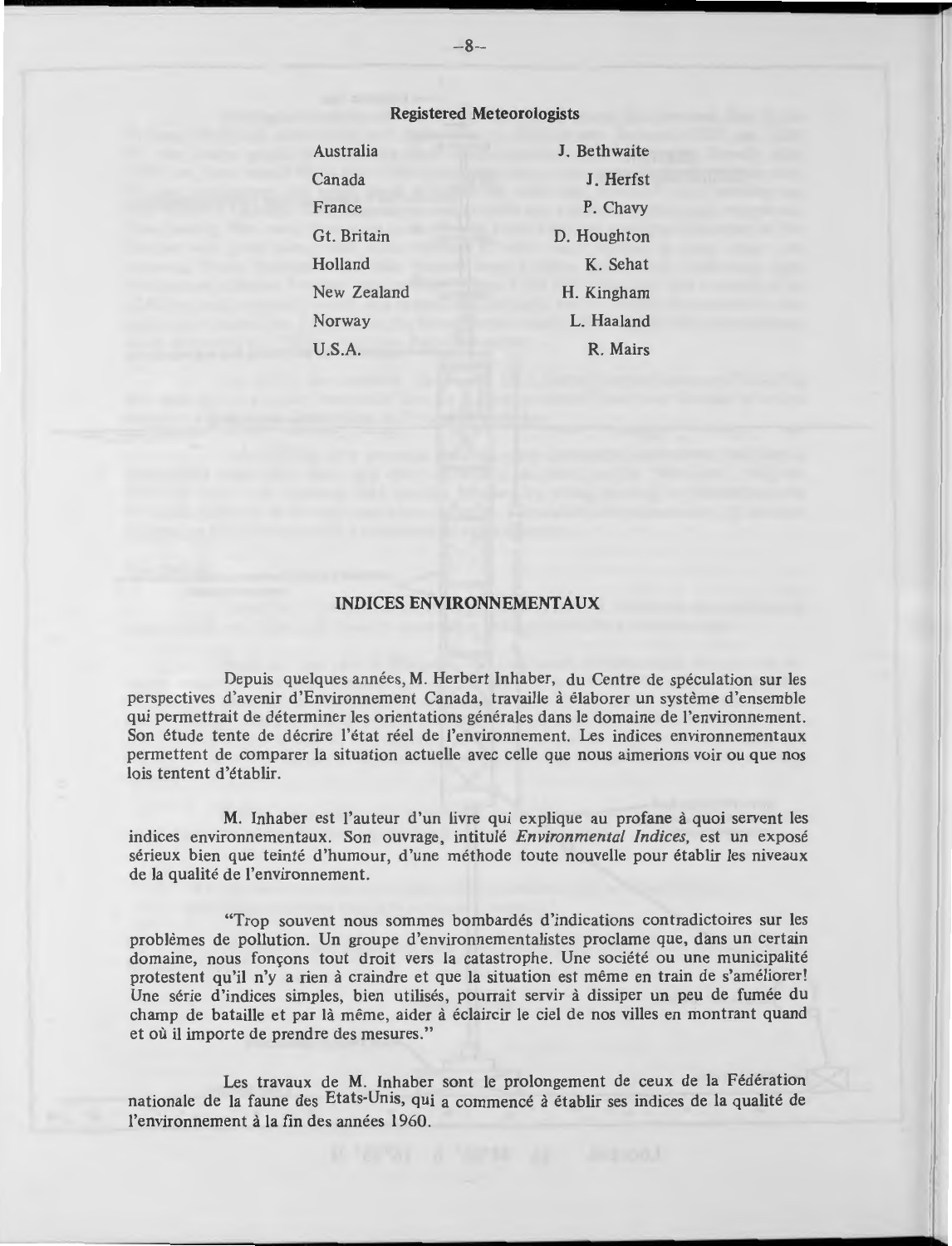#### **Registered Meteorologists**

| Australia   | J. Bethwaite |  |
|-------------|--------------|--|
| Canada      | J. Herfst    |  |
| France      | P. Chavy     |  |
| Gt. Britain | D. Houghton  |  |
| Holland     | K. Sehat     |  |
| New Zealand | H. Kingham   |  |
| Norway      | L. Haaland   |  |
| U.S.A.      | R. Mairs     |  |

#### **INDICES ENVIRONNEMENTAUX**

Depuis quelques années, M. Herbert Inhaber, du Centre de spéculation sur les perspectives d'avenir d'Environnement Canada, travaille a elaborer un systeme d'ensemble qui permettrait de déterminer les orientations générales dans le domaine de l'environnement. Son étude tente de décrire l'état réel de l'environnement. Les indices environnementaux permettent de comparer la situation actuelle avec celle que nous aimerions voir ou que nos lois tentent d'établir.

**M.** Inhaber est !'auteur d'un Iivre qui ex plique au profane a quoi servent Jes indices environnementaux. Son ouvrage, intitule *Environmental Indices,* est un expose sérieux bien que teinté d'humour, d'une méthode toute nouvelle pour établir les niveaux de la qualité de l'environnement.

"Trop souvent nous sommes bombardes d'indications contradictoires sur Jes problèmes de pollution. Un groupe d'environnementalistes proclame que, dans un certain domaine, nous fonçons tout droit vers la catastrophe. Une société ou une municipalité protestent qu'il n'y a rien à craindre et que la situation est même en train de s'améliorer! Une série d'indices simples, bien utilisés, pourrait servir à dissiper un peu de fumée du champ de bataille et par là même, aider à éclaircir le ciel de nos villes en montrant quand et où il importe de prendre des mesures."

Les travaux de M. Inhaber sont le prolongement de ceux de la Fédération nationale de la faune des Etats-Unis, qui a commencé à établir ses indices de la qualité de l'environnement à la fin des années 1960.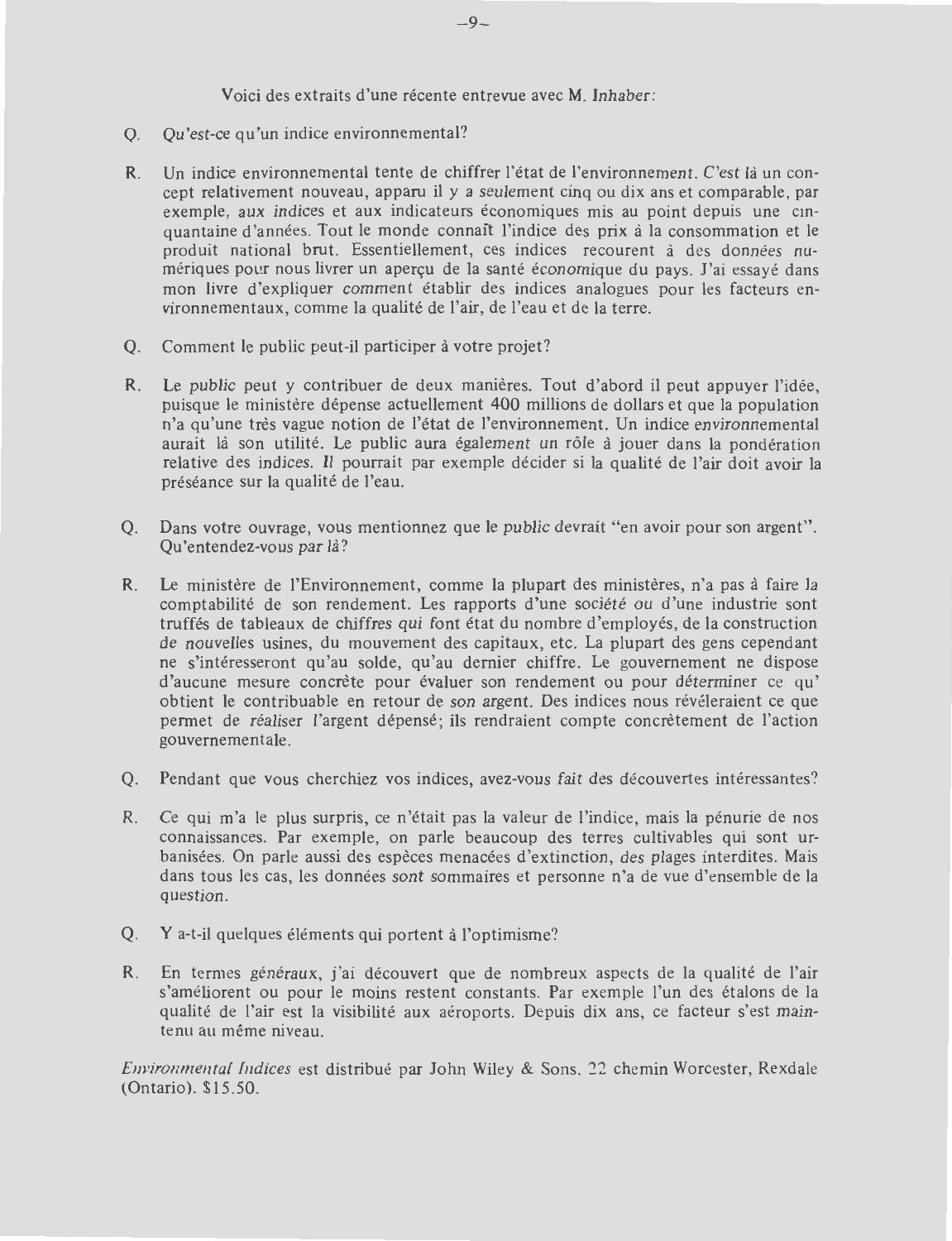Voici des extraits d'une récente entrevue avec M. Inhaber:

- O. Ou'est-ce qu'un indice environnemental?
- R. Un indice environnemental tente de chiffrer l'état de l'environnement. C'est là un concept relativement nouveau, apparu il y a seulement cinq ou dix ans et comparable, par exemple, aux indices et aux indicateurs économiques mis au point depuis une cinquantaine d'années. Tout le monde connaît l'indice des prix à la consommation et le produit national brut. Essentiellement, ces indices recourent a des donnees numériques pour nous livrer un aperçu de la santé économique du pays. J'ai essayé dans man livre d'expliquer comment etablir des indices analogues pour les facteurs environnementaux, comme la qualité de l'air, de l'eau et de la terre.
- Q. Comment le public peut-il participer à votre projet?
- R. Le public peut y contribuer de deux manieres. Tout d'abord il peut appuyer l'idee, puisque le ministere depense actuellement 400 millions de dollars et que la population n'a qu'une tres vague notion de l'etat de l'environnement. Un indice environnemental aurait la son utilite. Le public aura egalement un role a jouer dans la ponderation relative des indices. II pourrait par exemple decider si la qualite de l'air doit avoir la préséance sur la qualité de l'eau.
- Q. Dans votre ouvrage, vous mentionnez que le public devrait "en avoir pour son argent". Qu'entendez-vous par là?
- R. Le ministere de l'Environnement, comme la plupart des ministeres, n'a pas a faire la comptabilite de son rendement. Les rapports d'une societe ou d'une industrie sont truffes de tableaux de chiffres qui font etat du nombre d'employes, de la construction de nouvelles usines, du mouvement des capitaux, etc. La plupart des gens cependant ne s'intéresseront qu'au solde, qu'au dernier chiffre. Le gouvernement ne dispose d'aucune mesure concrete pour evaluer son rendement ou pour determiner ce qu' obtient le contribuable en retour de son argent. Des indices nous révéleraient ce que perrnet de realiser !'argent depense; ils rendraient compte concretement de !'action gouvernementale.
- Q. Pendant que vous cherchiez vos indices, avez-vous fait des decouvertes interessantes?
- R. Ce qui m'a le plus surpris, ce n'etait pas la valeur de l'indice, mais la penurie de nos connaissances. Par exemple, on parle beaucoup des terres cultivables qui sont urbanisées. On parle aussi des espèces menacées d'extinction, des plages interdites. Mais dans tous les cas, les données sont sommaires et personne n'a de vue d'ensemble de la question .
- Q. Y a-t-il quelques éléments qui portent à l'optimisme?
- R. En termes généraux, j'ai découvert que de nombreux aspects de la qualité de l'air s'ameliorent ou pour le mains restent constants. Par exemple l'un des etalons de la qualité de l'air est la visibilité aux aéroports. Depuis dix ans, ce facteur s'est maintenu au même niveau.

Environmental Indices est distribué par John Wiley & Sons, 22 chemin Worcester, Rexdale (Ontario). \$1 5.50.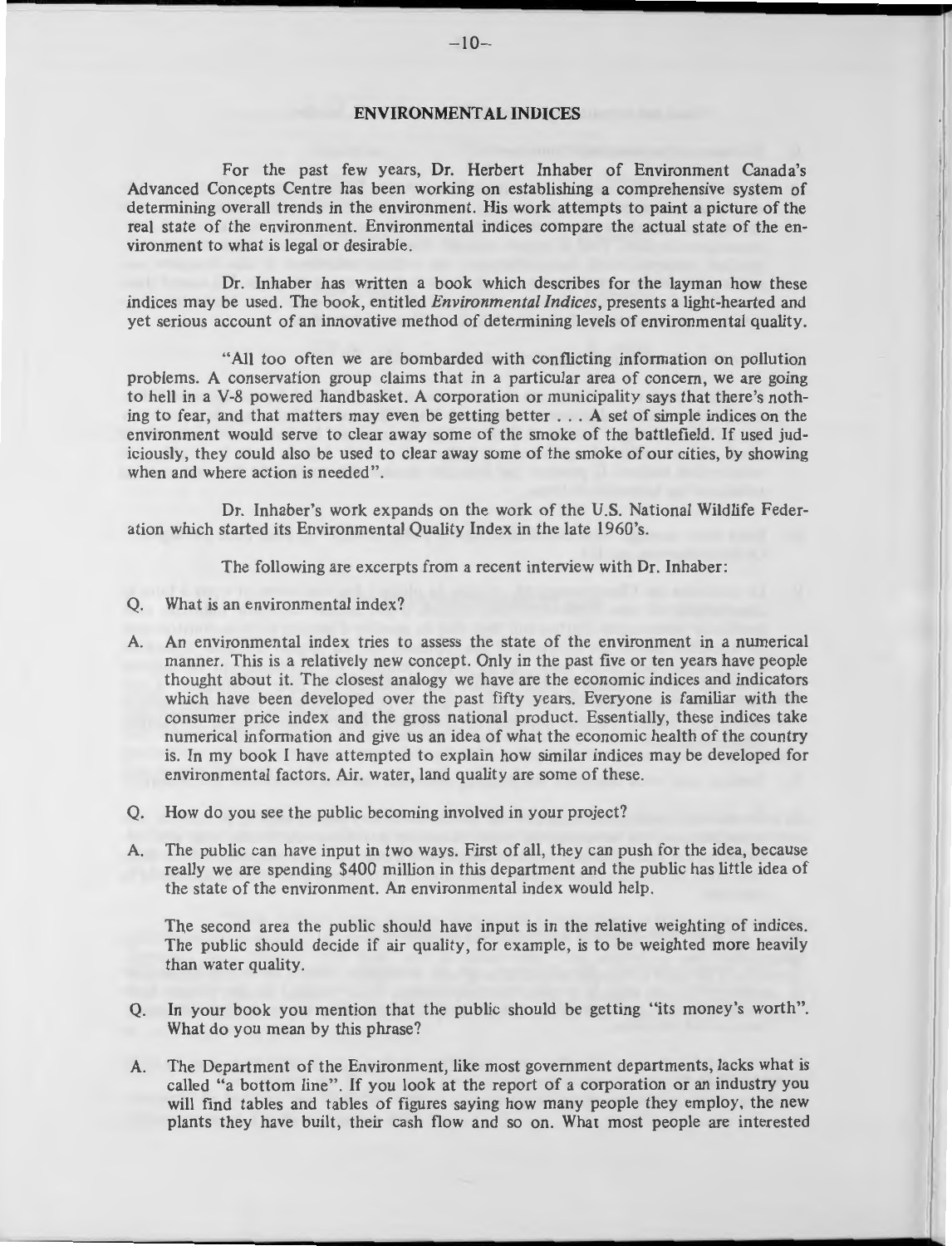#### **ENVIRONMENT AL INDICES**

For the past few years, Dr. Herbert Inhaber of Environment Canada's Advanced Concepts Centre has been working on establishing a comprehensive system of determining overall trends in the environment. His work attempts to paint a picture of the real state of the environment. Environmental indices compare the actual state of the environment to what is legal or desirable.

Dr. lnhaber has written a book which describes for the layman how these indices may be used. The book, entitled *Environmental Indices,* presents a light-hearted and yet serious account of an innovative method of determining levels of environmental quality.

"All too often we are bombarded with conflicting information on pollution problems. A conservation group claims that in a particular area of concern, we are going to hell in a V-8 powered handbasket. A corporation or municipality says that there's nothing to fear, and that matters may even be getting better ... A set of simple indices on the environment would serve to clear away some of the smoke of the battlefield . If used judiciously, they could also be used to clear away some of the smoke of our cities, by showing when and where action is needed".

Dr. Inhaber's work expands on the work of the U.S. National Wildlife Federation which started its Environmental Quality Index in the late 1960's.

The following are excerpts from a recent interview with Dr. Inhaber:

- Q. What is an environmental index?
- A. An environmental index tries to assess the state of the environment in a numerical manner. This is a relatively new concept. Only in the past five or ten years have people thought about it. The closest analogy we have are the economic indices and indicators which have been developed over the past fifty years. Everyone is familiar with the consumer price index and the gross national product. Essentially, these indices take numerical information and give us an idea of what the economic health of the country is. In my book I have attempted to explain how similar indices may be developed for environmental factors. Air. water, land quality are some of these.
- Q. How do you see the public becoming involved in your project?
- A. The public can have input in two ways. First of all, they can push for the idea, because really we are spending \$400 million in this department and the public has little idea of the state of the environment. An environmental index would help.

The second area the public should have input is in the relative weighting of indices. The public should decide if air quality, for example, is to be weighted more heavily than water quality.

- Q. In your book you mention that the public should be getting "its money's worth". What do you mean by this phrase?
- A. The Department of the Environment, like most government departments, lacks what is called "a bottom line". If you look at the report of a corporation or an industry you will find tables and tables of figures saying how many people they employ, the new plants they have built, their cash flow and so on. What most people are interested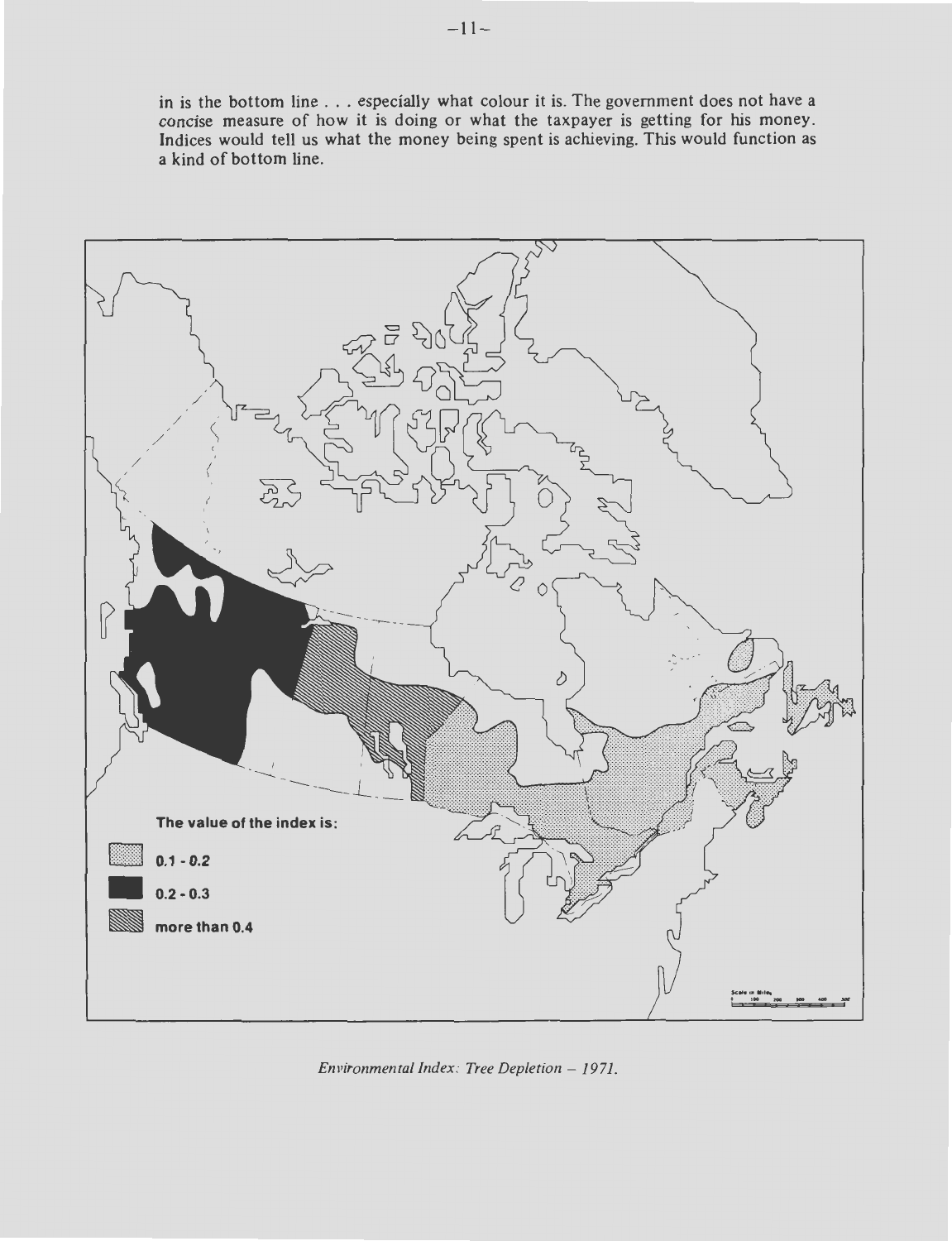in is the bottom line ... especially what colour it is. The government does not have a concise measure of how it is doing or what the taxpayer is getting for his money . Indices would tell us what the money being spent is achieving. This would function as a kind of bottom line.



*Environmental Index: Tree Depletion - 1971.*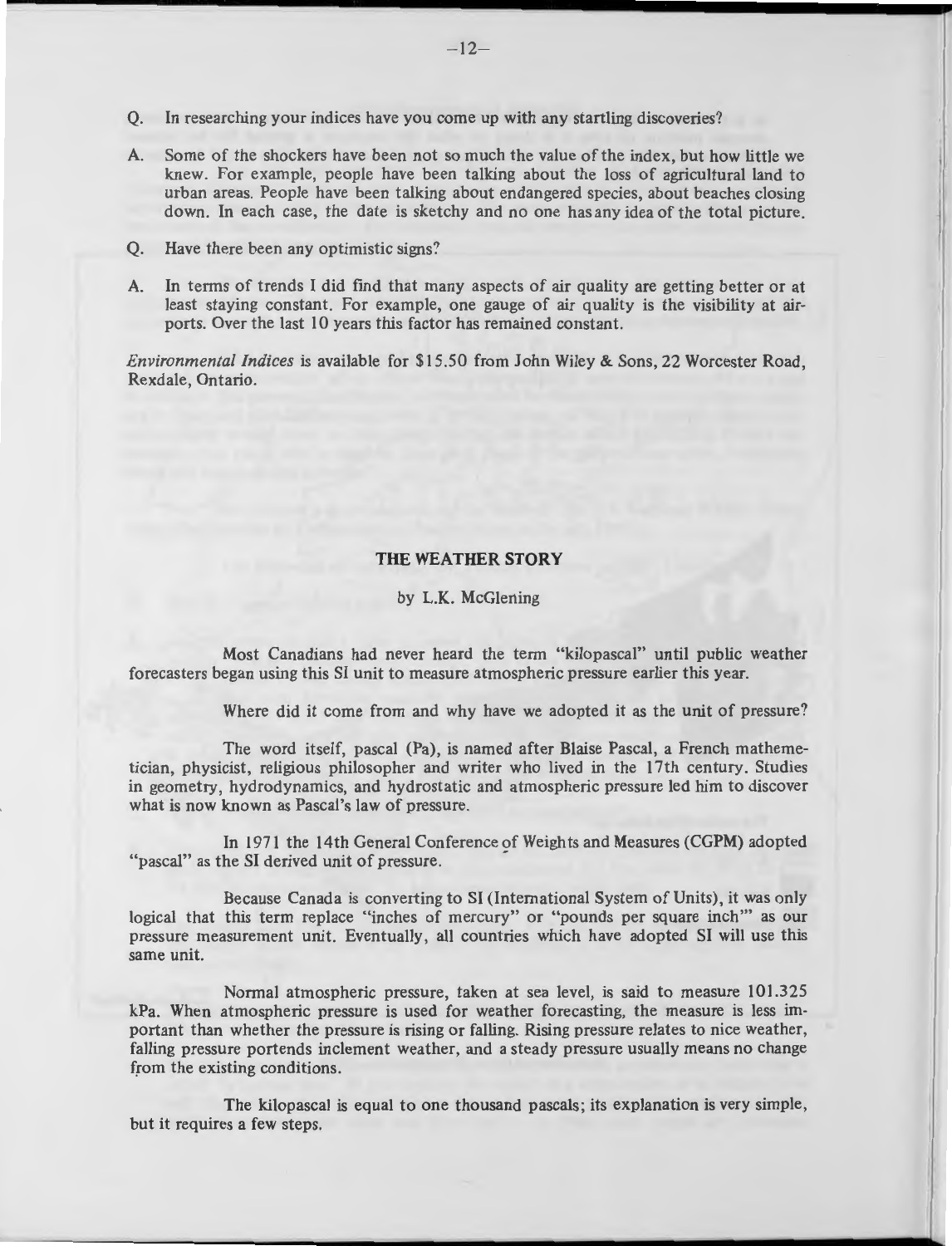- Q. In researching your indices have you come up with any startling discoveries?
- A. Some of the shockers have been not so much the value of the index, but how little we knew. For example, people have been talking about the loss of agricultural land to urban areas. People have been talking about endangered species, about beaches closing down. In each case, the date is sketchy and no one has any idea of the total picture.
- Q. Have there been any optimistic signs?
- A. In terms of trends I did find that many aspects of air quality are getting better or at least staying constant. For example, one gauge of air quality is the visibility at airports. Over the last 10 years this factor has remained constant.

*Environmental Indices* is available for \$15.50 from John Wiley & Sons, 22 Worcester Road, Rexdale, Ontario.

#### **THE WEATHER STORY**

#### by L.K. McGlening

Most Canadians had never heard the term "kilopascal" until public weather forecasters began using this SI unit to measure atmospheric pressure earlier this year.

Where did it come from and why have we adopted it as the unit of pressure?

The word itself, pascal (Pa), is named after Blaise Pascal, a French mathemetician, physicist, religious philosopher and writer who lived in the 17th century. Studies in geometry, hydrodynamics, and hydrostatic and atmospheric pressure led him to discover what is now known as Pascal's law of pressure.

In 1971 the 14th General Conference of Weights and Measures (CGPM) adopted "pascal" as the SI derived unit of pressure.

Because Canada is converting to SI (International System of Units), it was only logical that this term replace "inches of mercury" or "pounds per square inch"" as our pressure measurement unit. Eventually, all countries which have adopted **SI will** use this same unit.

Normal atmospheric pressure, taken at sea level, is said to measure 101.325 kPa. When atmospheric pressure is used for weather forecasting, the measure is less important than whether the pressure is rising or falling. Rising pressure relates to nice weather, falling pressure portends inclement weather, and a steady pressure usually means no change from the existing conditions.

The kilopascal is equal to one thousand pascals; its explanation is very simple, but it requires a few steps.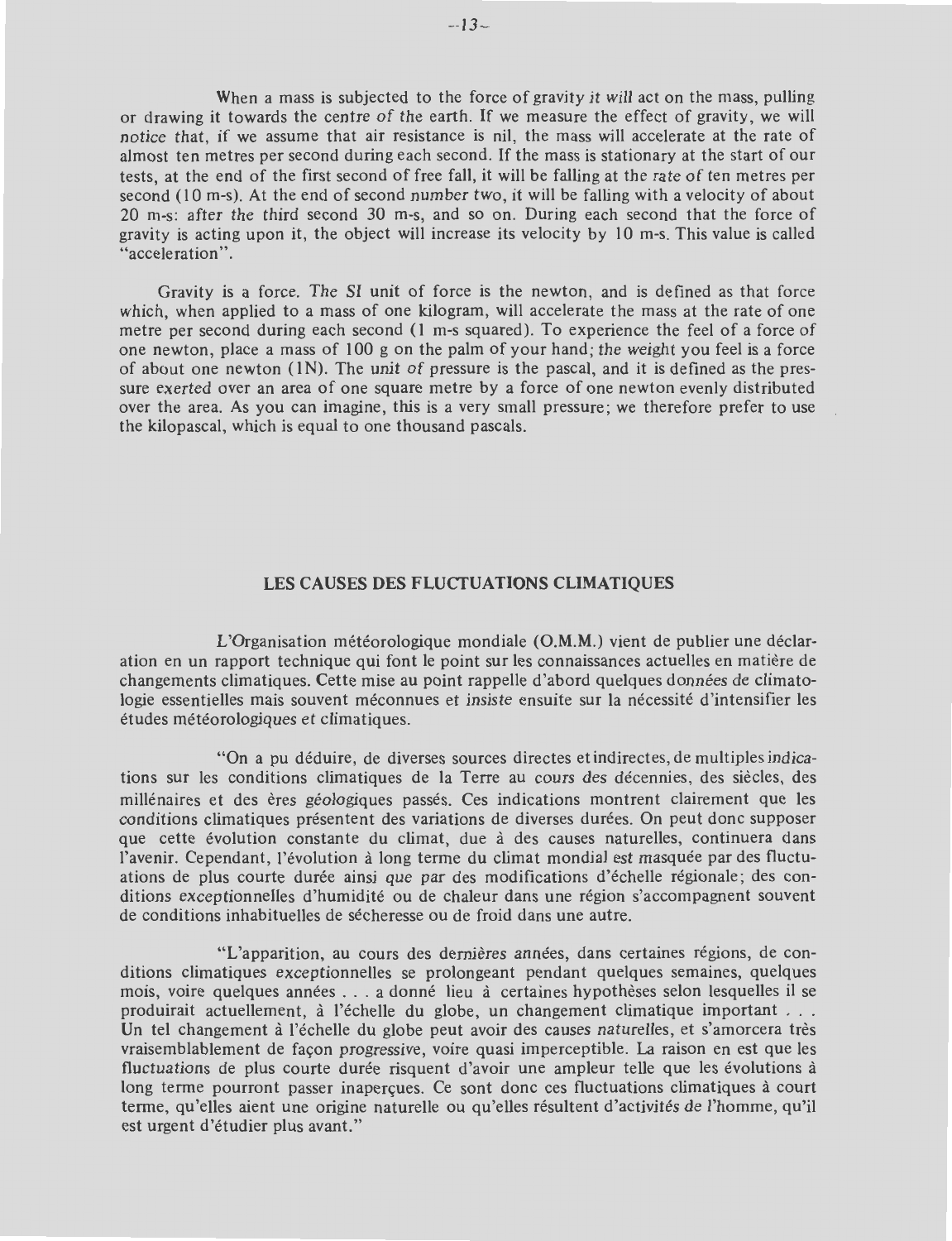When a mass is subjected to the force of gravity it will act on the mass, pulling or drawing it towards the centre of the earth. If we measure the effect of gravity, we will notice that , if we assume that air resistance is nil, the mass will accelerate at the rate of almost ten metres per second during each second. If the mass is stationary at the start of our tests, at the end of the first second of free fall, it will be falling at the rate of ten metres per second (IO m-s). At the end of second number two , it will be falling with a velocity of about 20 m-s: after the third second 30 m-s, and so on. During each second that the force of gravity is acting upon it, the object **will** increase its velocity by IO m-s. This value is called "acceleration".

Gravity is a force. The SI unit of force is the newton, and is defined as that force which, when applied to a mass of one kilogram, will accelerate the mass at the rate of one metre per second during each second (1 m-s squared). To experience the feel of a force of one newton, place a mass of  $100 \text{ g}$  on the palm of your hand; the weight you feel is a force of about one newton  $(1N)$ . The unit of pressure is the pascal, and it is defined as the pressure exerted over an area of one square metre by a force of one newton evenly distributed over the area. As you can imagine, this is a very small pressure; we therefore prefer to use the kilopascal, which is equal to one thousand pascals.

#### **LES CAUSES DES FLUCTUATIONS CLIMATIQUES**

L'Organisation meteorologique mondiale **(O.M.M.)** vient de publier une declaration en un rapport technique qui font le point sur les connaissances actuelles en matiere de changements climatiques. Cette mise au point rappelle d'abord quelques donnees de climatologie essentielles mais souvent méconnues et insiste ensuite sur la nécessité d'intensifier les études météorologiques et climatiques.

"On a pu déduire, de diverses sources directes et indirectes, de multiples indications sur les conditions climatiques de la Terre au cours des décennies, des siècles, des millénaires et des ères géologiques passés. Ces indications montrent clairement que les conditions climatiques présentent des variations de diverses durées. On peut donc supposer que cette évolution constante du climat, due à des causes naturelles, continuera dans l'avenir. Cependant, l'évolution à long terme du climat mondial est masquée par des fluctuations de plus courte durée ainsi que par des modifications d'échelle régionale; des conditions excep tionnelles d'humidite ou de chaleur dans une region s'accompagnent souvent de conditions inhabituelles de sécheresse ou de froid dans une autre.

"L'apparition, au cours des dernières années, dans certaines régions, de conditions climatiques exceptionnelles se prolongeant pendant quelques semaines, quelques mois, voire quelques années ... a donné lieu à certaines hypothèses selon lesquelles il se produirait actuellement, à l'échelle du globe, un changement climatique important . . . Un tel changement à l'échelle du globe peut avoir des causes naturelles, et s'amorcera très vraisemblablement de façon progressive, voire quasi imperceptible. La raison en est que les fluctuations de plus courte durée risquent d'avoir une ampleur telle que les évolutions à long terme pourront passer inapercues. Ce sont donc ces fluctuations climatiques à court terme, qu'elles aient une origine naturelle ou qu'elles résultent d'activités de l'homme, qu'il est urgent d'étudier plus avant."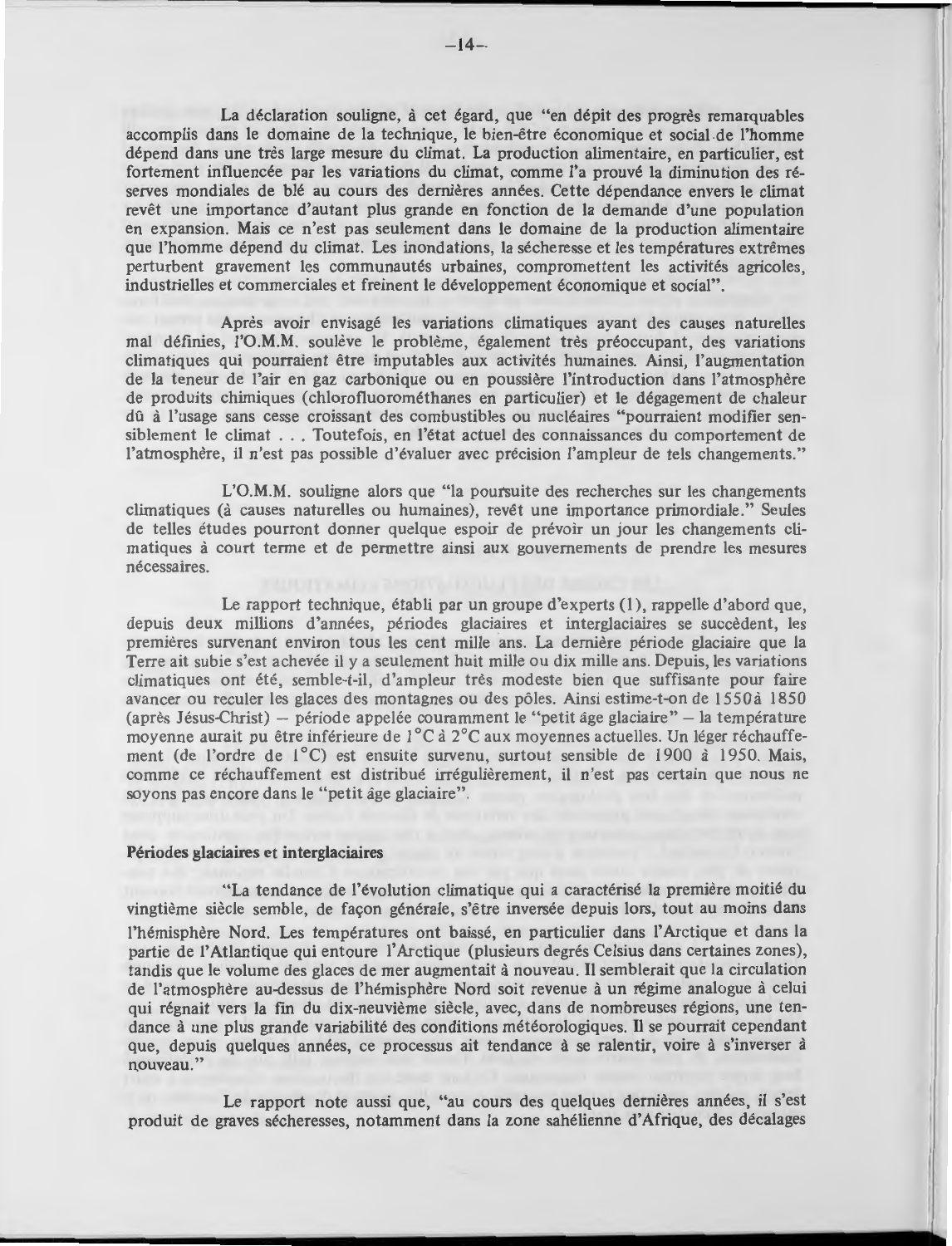La déclaration souligne, à cet égard, que "en dépit des progrès remarquables accomplis dans le domaine de la technique, le bien-être économique et social de l'homme depend dans une tres large mesure du climat. La production alimentaire, en particulier, est fortement influencée par les variations du climat, comme l'a prouvé la diminution des réserves mondiales de blé au cours des dernières années. Cette dépendance envers le climat revet une importance d'autant plus grande en fonction de la demande d'une population en expansion. **Mais** ce n'est pas seulement dans le domaine de la production alimentaire que l'homme dépend du climat. Les inondations, la sécheresse et les températures extrêmes perturbent gravement les communautés urbaines, compromettent les activités agricoles, industrielles et commerciales et freinent le développement économique et social".

Apres avoir envisage Jes variations climatiques ayant des causes naturelles maJ definies, l'O.M.M. souleve le probleme, egalement tres preoccupant, des variations climatiques qui pourraient etre imputables aux activites humaines. Ainsi, !'augmentation de la teneur de l'air en gaz carbonique ou en poussiere !'introduction dans !'atmosphere de produits chimiques (chlorofluoromethanes en particulier) et le degagement de chaleur dû à l'usage sans cesse croissant des combustibles ou nucléaires "pourraient modifier sensiblement le clirnat ... Toutefois, en l'etat actuel des connaissances du comportement de !'atmosphere, ii n'est pas possible d'evaluer avec precision l'ampleur de tels changements."

**L'O.M.M.** souligne alors que "la poursuite des recherches sur les changements climatiques (a causes naturelles ou humaines), revet une importance primordiale." Seules de telles etudes pourront donner quelque espoir de prevoir un jour les changements climatiques a court terme et de permettre ainsi aux gouvemements de prendre les mesures nécessaires.

Le rapport technique, établi par un groupe d'experts (1), rappelle d'abord que, depuis deux millions d'années, périodes glaciaires et interglaciaires se succèdent, les premieres survenant environ tous Jes cent mille ans. La demiere periode glaciaire que la Terre ait subie s'est achevée il y a seulement huit mille ou dix mille ans. Depuis, les variations climatiques ont été, semble-t-il, d'ampleur très modeste bien que suffisante pour faire avancer ou reculer les glaces des montagnes ou des pôles. Ainsi estime-t-on de 1550 à 1850 (après Jésus-Christ) - période appelée couramment le "petit âge glaciaire" - la température moyenne aurait pu être inférieure de l<sup>o</sup>C à 2<sup>o</sup>C aux moyennes actuelles. Un léger réchauffement (de l'ordre de l<sup>o</sup>C) est ensuite survenu, surtout sensible de 1900 à 1950. Mais, comme ce rechauffement est distribue irregulierement, ii n'est pas certain que nous ne soyons pas encore dans le "petit âge glaciaire".

#### **Periodes glaciaires et interglaciaires**

"La tendance de l'évolution climatique qui a caractérisé la première moitié du vingtième siècle semble, de façon générale, s'être inversée depuis lors, tout au moins dans l'hémisphère Nord. Les températures ont baissé, en particulier dans l'Arctique et dans la partie de l' Atlantique qui entoure l' Arctique (plusieurs degres Celsius dans certaines zones), tandis que le volume des glaces de mer augmentait à nouveau. Il semblerait que la circulation de l'atmosphère au-dessus de l'hémisphère Nord soit revenue à un régime analogue à celui qui régnait vers la fin du dix-neuvième siècle, avec, dans de nombreuses régions, une tendance à une plus grande variabilité des conditions météorologiques. Il se pourrait cependant que, depuis quelques années, ce processus ait tendance à se ralentir, voire à s'inverser à nouveau."

Le rapport note aussi que, "au cours des quelques dernières années, il s'est produit de graves secheresses, notamment dans la zone sahelienne d' Afrique, des decalages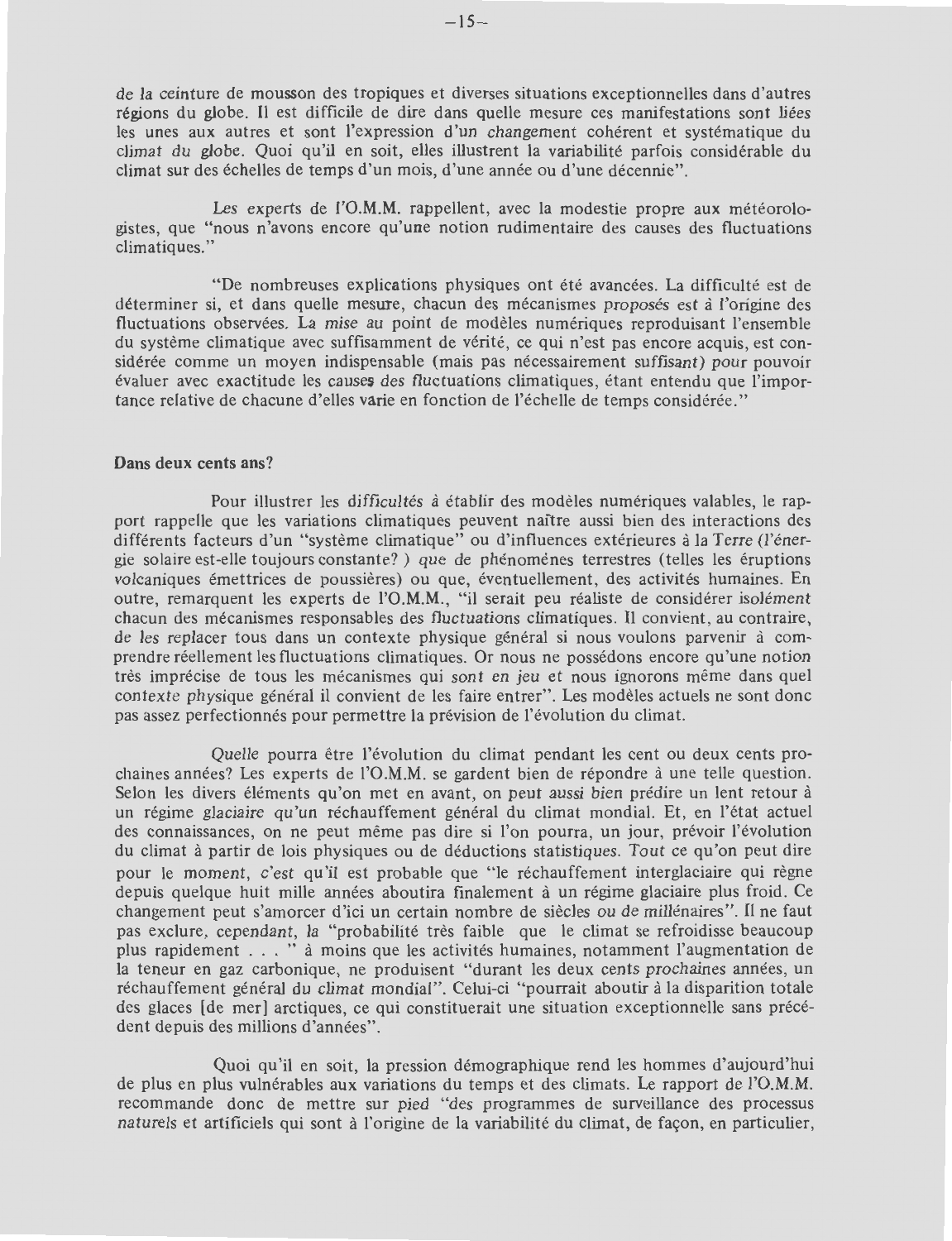de la ceinture de mousson des tropiques et diverses situations exceptionnelles dans d'autres regions du globe. 11 est difficile de dire dans quelle mesure ces manifestations sont liees les unes aux autres et sont !'expression d'un changement coherent et systematique du climat du globe. Quoi qu'il en soit, elles illustrent la variabilite parfois considerable du climat sur des échelles de temps d'un mois, d'une année ou d'une décennie".

Les experts de l'O.M.M. rappellent, avec la modestie propre aux météorologistes, que "nous n'avons encore qu'une notion rudimentaire des causes des fluctuations climatiques."

"De nombreuses explications physiques ont été avancées. La difficulté est de determiner si, et dans quelle mesure, chacun des mecanismes proposes est a l'origine des fluctuations observees. La mise au point de modeles numeriques reproduisant !'ensemble du systeme climatique avec suffisamment de verite, ce qui n'est pas encore acquis, est consideree comme un moyen indispensable (mais pas necessairement suffisant) pour pouvoir evaluer avec exactitude les causes des fluctuations climatiques, etant entendu que l'importance relative de chacune d'elles varie en fonction de l'echelle de temps consideree."

#### **Dans deux cents ans?**

Pour illustrer les difficultés à établir des modèles numériques valables, le rapport rappelle que les variations climatiques peuvent naftre aussi bien des interactions des différents facteurs d'un "système climatique" ou d'influences extérieures à la Terre (l'énergie solaire est-elle toujours constante?) que de phénomènes terrestres (telles les éruptions volcaniques emettrices de poussieres) ou que, eventuellement, des activites humaines. En outre, remarquent les experts de l'O.M.M., "il serait peu réaliste de considérer isolément chacun des mecanismes responsables des fluctuations climatiques. II convient, au contraire, de les replacer tous dans un contexte physique général si nous voulons parvenir à comprendre reellement Jes fluctuations climatiques. Or nous ne possedons encore qu'une notion très imprécise de tous les mécanismes qui sont en jeu et nous ignorons même dans quel contexte physique général il convient de les faire entrer". Les modèles actuels ne sont donc pas assez perfectionnés pour permettre la prévision de l'évolution du climat.

Quelle pourra etre l'evolution du climat pendant les cent ou deux cents prochaines années? Les experts de l'O.M.M. se gardent bien de répondre à une telle question. Selon les divers éléments qu'on met en avant, on peut aussi bien prédire un lent retour à un régime glaciaire qu'un réchauffement général du climat mondial. Et, en l'état actuel des connaissances, on ne peut même pas dire si l'on pourra, un jour, prévoir l'évolution du climat a partir de lois physiques ou de deductions statistiques. Tout ce qu'on peut dire pour le moment, c'est qu'il est probable que "le réchauffement interglaciaire qui règne depuis quelque huit mille années aboutira finalement à un régime glaciaire plus froid. Ce changement peut s'amorcer d 'ici un certain nombre de siecles ou de millenaires". II ne faut pas exclure, cependant, la "probabilite tres faible que le climat se refroidisse beaucoup plus rapidement . . . " à moins que les activités humaines, notamment l'augmentation de la teneur en gaz carbonique, ne produisent "durant les deux cents prochaines annees, un réchauffement général du climat mondial". Celui-ci "pourrait aboutir à la disparition totale des glaces [de mer] arctiques, ce qui constituerait une situation exceptionnelle sans précédent depuis des millions d'années".

Quoi qu'il en soit, la pression démographique rend les hommes d'aujourd'hui de plus en plus vulnérables aux variations du temps et des climats. Le rapport de l'O.M.M. recommande donc de mettre sur pied "des programmes de surveillance des processus naturels et artificiels qui sont à l'origine de la variabilité du climat, de façon, en particulier,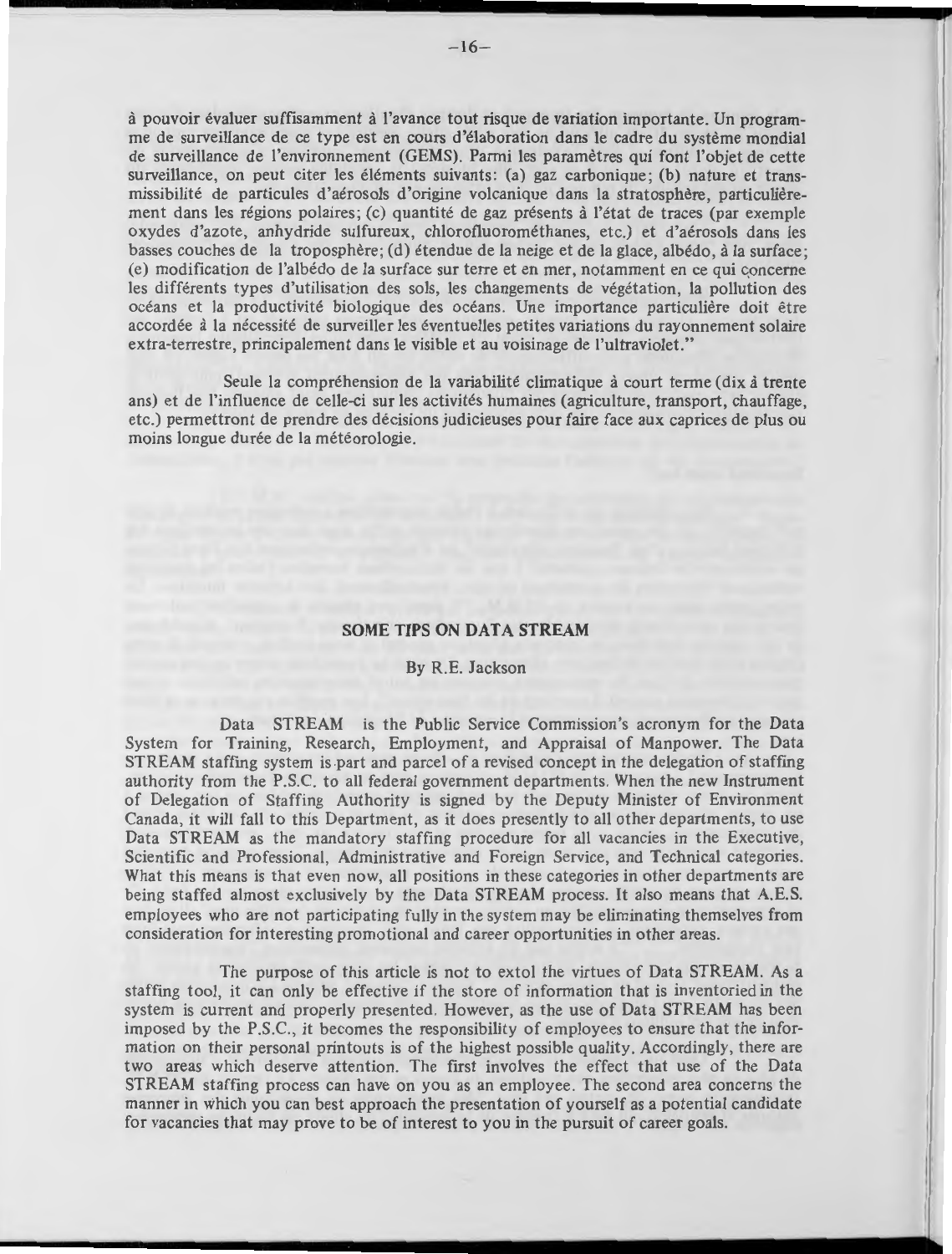a pouvoir evaluer suffisamment a l'avance tout risque de variation importante. Un programme de surveillance de ce type est en cours d'elaboration dans le cadre du systeme mondial de surveillance de l'environnement (GEMS). Parmi les parametres qui font l'objet de cette surveillance, on peut citer les éléments suivants: (a) gaz carbonique; (b) nature et transmissibilite de particules d'aerosols d'origine volcanique dans la stratosphere, particulierement dans les régions polaires; (c) quantité de gaz présents à l'état de traces (par exemple oxydes d'azote, anhydride sulfureux, chlorofluoromethanes, etc.) et d'aerosols dans Jes basses couches de la troposphere; (d) etendue de la neige et de la glace, albedo, a la surface; (e) modification de !'albedo de la surface sur terre et en mer, notamment en ce qui c\_onceme les différents types d'utilisation des sols, les changements de végétation, la pollution des oceans et la productivite biologique des oceans. Une importance particuliere doit etre accordée à la nécessité de surveiller les éventuelles petites variations du rayonnement solaire extra-terrestre, principalement dans le visible et au voisinage de !'ultraviolet."

Seule la compréhension de la variabilité climatique à court terme (dix à trente ans) et de l'influence de celle-ci sur les activités humaines (agriculture, transport, chauffage, etc.) permettront de prendre des decisions judicieuses pour faire face aux caprices de plus ou moins longue durée de la météorologie.

#### **SOME TIPS ON DATA STREAM**

#### By R.E. Jackson

Data STREAM is the Public Service Commission's acronym for the Data System for Training, Research, Employment, and Appraisal of Manpower. The Data STREAM staffing system is part and parcel of a revised concept in the delegation of staffing authority from the P.S.C. to all federal government departments. When the new Instrument of Delegation of Staffing Authority is signed by the Deputy Minister of Environment Canada, it will fall to this Department, as it does presently to all other departments, to use Data STREAM as the mandatory staffing procedure for all vacancies in the Executive, Scientific and Professional, Administrative and Foreign Service, and Technical categories. What this means is that even now, all positions in these categories in other departments are being staffed almost exclusively by the Data STREAM process. It also means that A.E.S. employees who are not participating fully in the system may be eliminating themselves from consideration for interesting promotional and career opportunities in other areas.

The purpose of this article is not to extol the virtues of Data STREAM. As a staffing tool, it can only be effective if the store of information that is inventoried in the system is current and properly presented. However, as the use of Data STREAM has been imposed by the P.S.C., it becomes the responsibility of employees to ensure that the information on their personal printouts is of the highest possible quality. Accordingly, there are two areas which deserve attention. The first involves the effect that use of the Data STREAM staffing process can have on you as an employee. The second area concerns the manner in which you can best approach the presentation of yourself as a potential candidate for vacancies that may prove to be of interest to you in the pursuit of career goals.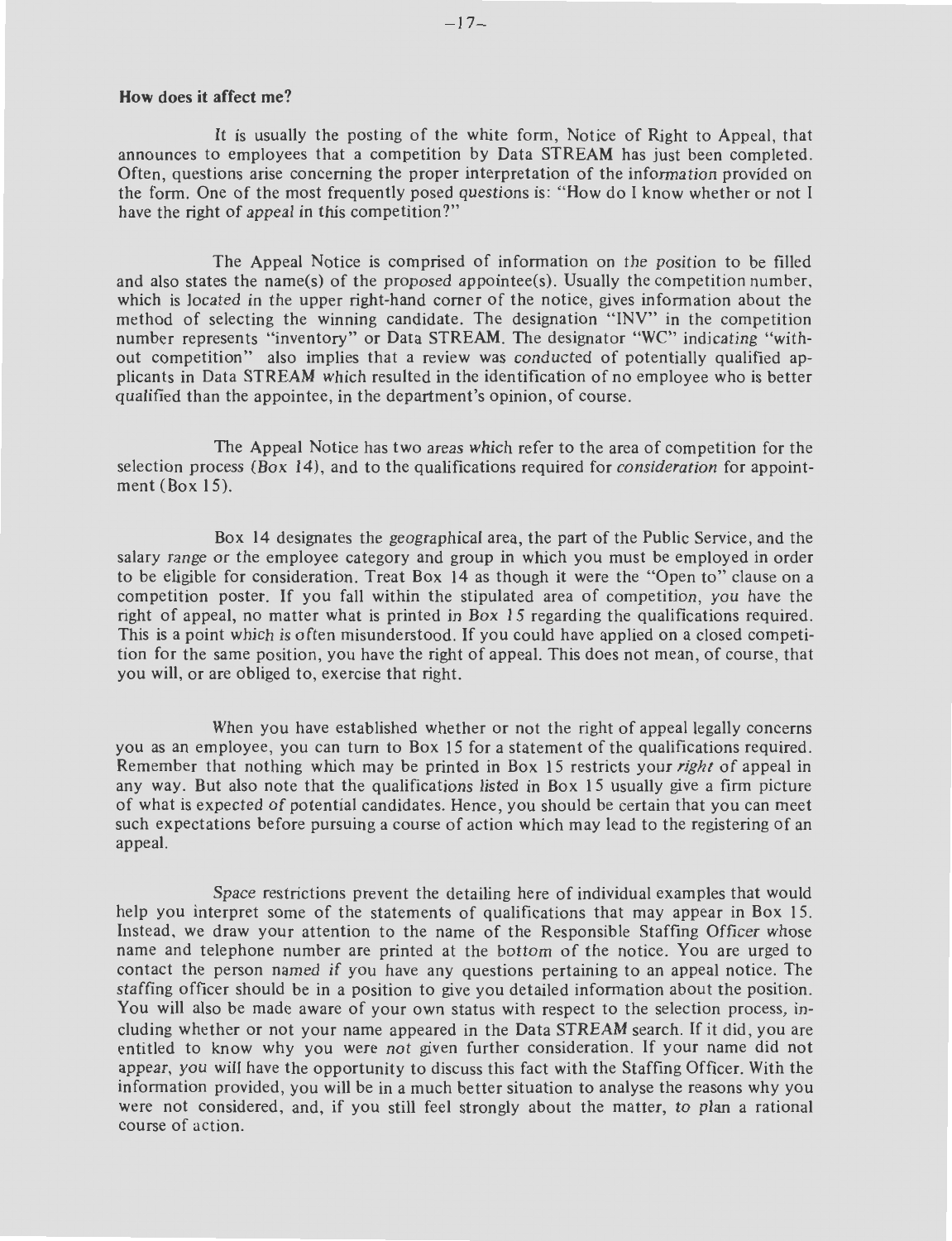#### **How does it affect me?**

It is usually the posting of the white form, Notice of Right to Appeal, that announces to employees that a competition by Data STREAM has just been completed. Often, questions arise concerning the proper interpretation of the information provided on the form. One of the most frequently posed questions is: " How do I know whether or not I have the right of appeal in this competition?"

The Appeal Notice is comprised of information on the position to be filled and also states the name(s) of the proposed appointee(s). Usually the competition number, which is located in the upper right-hand corner of the notice, gives information about the method of selecting the winning candidate. The designation "INV" in the competition number represents "inventory" or Data STREAM. The designator "WC" indicating "without competition" also implies that a review was conducted of potentially qualified applicants in Data STREAM which resulted in the identification of no employee who is better qualified than the appointee, in the department's opinion, of course.

The Appeal Notice has two areas which refer to the area of competition for the selection process (Box 14), and to the qualifications required for *consideration* for appointment  $(Box 15)$ .

Box 14 designates the geographical area, the part of the Public Service, and the salary range or the employee category and group in which you must be employed in order to be eligible for consideration . Treat Box 14 as though it were the "Open to" clause on a competition poster. If you fall within the stipulated area of competition, you have the right of appeal, no matter what is printed in Box 15 regarding the qualifications required. This is a point which is often misunderstood. If you could have applied on a closed competition for the same position, you have the right of appeal. This does not mean, of course, that you will, or are obliged to, exercise that right.

When you have established whether or not the right of appeal legally concerns you as an employee, you can turn to Box 15 for a statement of the qualifications required. Remember that nothing which may be printed in Box 15 restricts your right of appeal in any way . But also note that the qualifications listed in Box 15 usually give a firm picture of what is expected of potential candidates. Hence , you should be certain that you can meet such expectations before pursuing a course of action which may lead to the registering of an appeal.

Space restrictions prevent the detailing here of individual examples that would help you interpret some of the statements of qualifications that may appear in Box 15. Instead, we draw your attention to the name of the Responsible Staffing Officer whose name and telephone number are printed at the bottom of the notice. You are urged to contact the person named if you have any questions pertaining to an appeal notice. The taffing officer should be in a position to give you detailed information about the position. You will also be made aware of your own status with respect to the selection process, including whether or not your name appeared in the Data **STREAM** search. If it did, you are entitled to know why you were not given further consideration. If your name did not appear, you will have the opportunity to discuss this fact with the Staffing Officer. With the information provided, you will be in a much better situation to analyse the reasons why you were not considered, and, if you still feel strongly about the matter, to plan a rational course of action.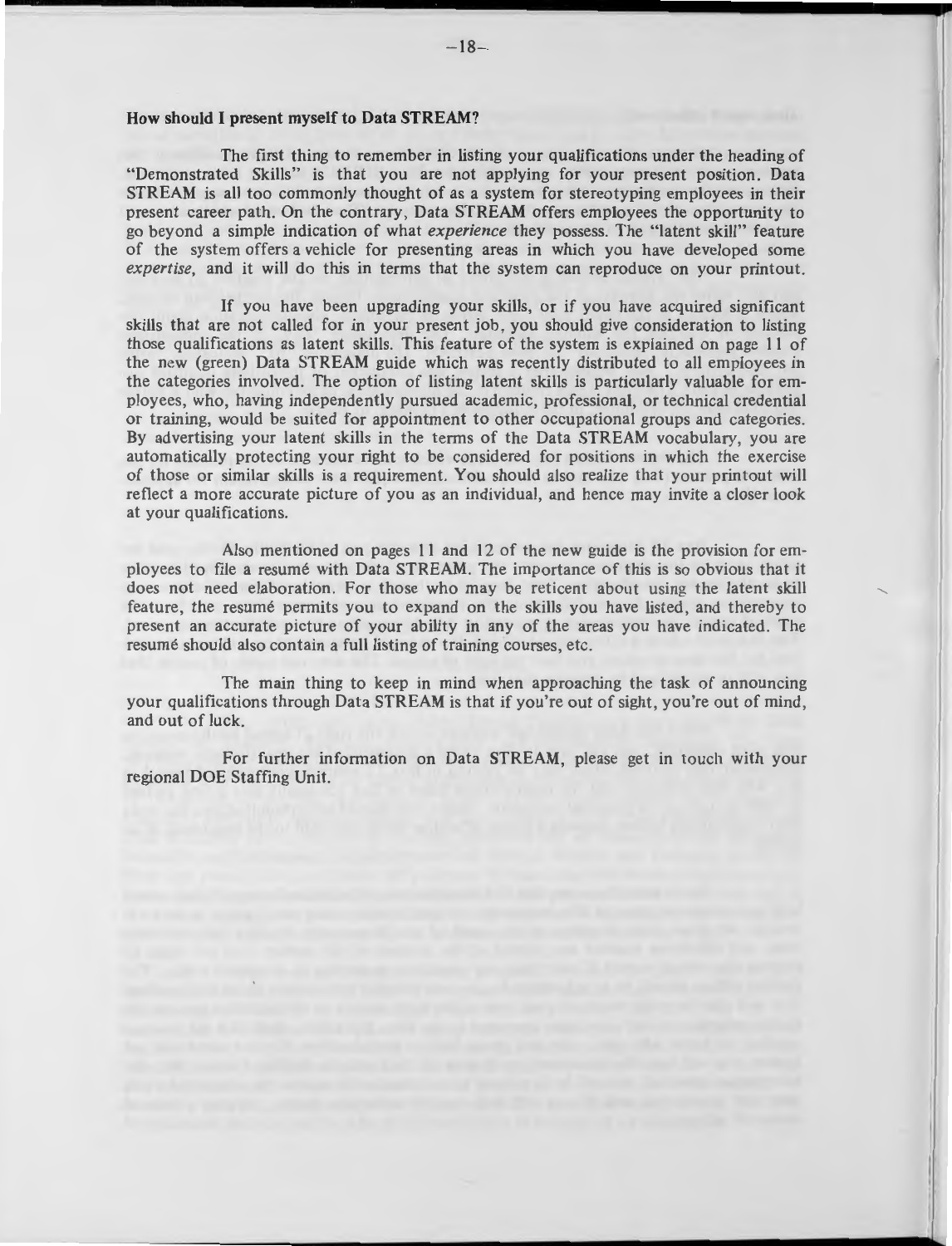#### **How should I present myself to Data STREAM?**

The first thing to remember in listing your qualifications under the heading of "Demonstrated Skills" is that you are not applying for your present position. Data STREAM is all too commonly thought of as a system for stereotyping employees in their present career path. On the contrary, Data STREAM offers employees the opportunity to go beyond a simple indication of what *experience* they possess. The "latent skill" feature of the system offers a vehicle for presenting areas in which you have developed some expertise, and it will do this in terms that the system can reproduce on your printout.

If you have been upgrading your skills, or if you have acquired significant skills that are not called for in your present job, you should give consideration to listing those qualifications as latent skills. This feature of the system is explained on page 11 of the new (green) Data **STREAM** guide which was recently distributed to all employees in the categories involved. The option of listing latent skills is particularly valuable for employees, who, having independently pursued academic, professional, or technical credential or training, would be suited for appointment to other occupational groups and categories. By advertising your latent skills in the terms of the Data STREAM vocabulary, you are automatically protecting your right to be considered for positions in which the exercise of those or similar skills is a requirement. You should also realize that your printout will reflect a more accurate picture of you as an individual, and hence may invite a closer look at your qualifications.

Also mentioned on pages 11 and 12 of the new guide is the provision for employees to file a resume with Data STREAM . The importance of this is so obvious that it does not need elaboration. For those who may be reticent about using the latent skill feature, the resume permits you to expand on the skills you have listed, and thereby to present an accurate picture of your ability in any of the areas you have indicated. The resumé should also contain a full listing of training courses, etc.

The main thing to keep in mind when approaching the task of announcing your qualifications through Data STREAM is that if you're out of sight, you're out of mind , and out of luck.

For further information on Data STREAM, please get in touch with your regional DOE Staffing Unit.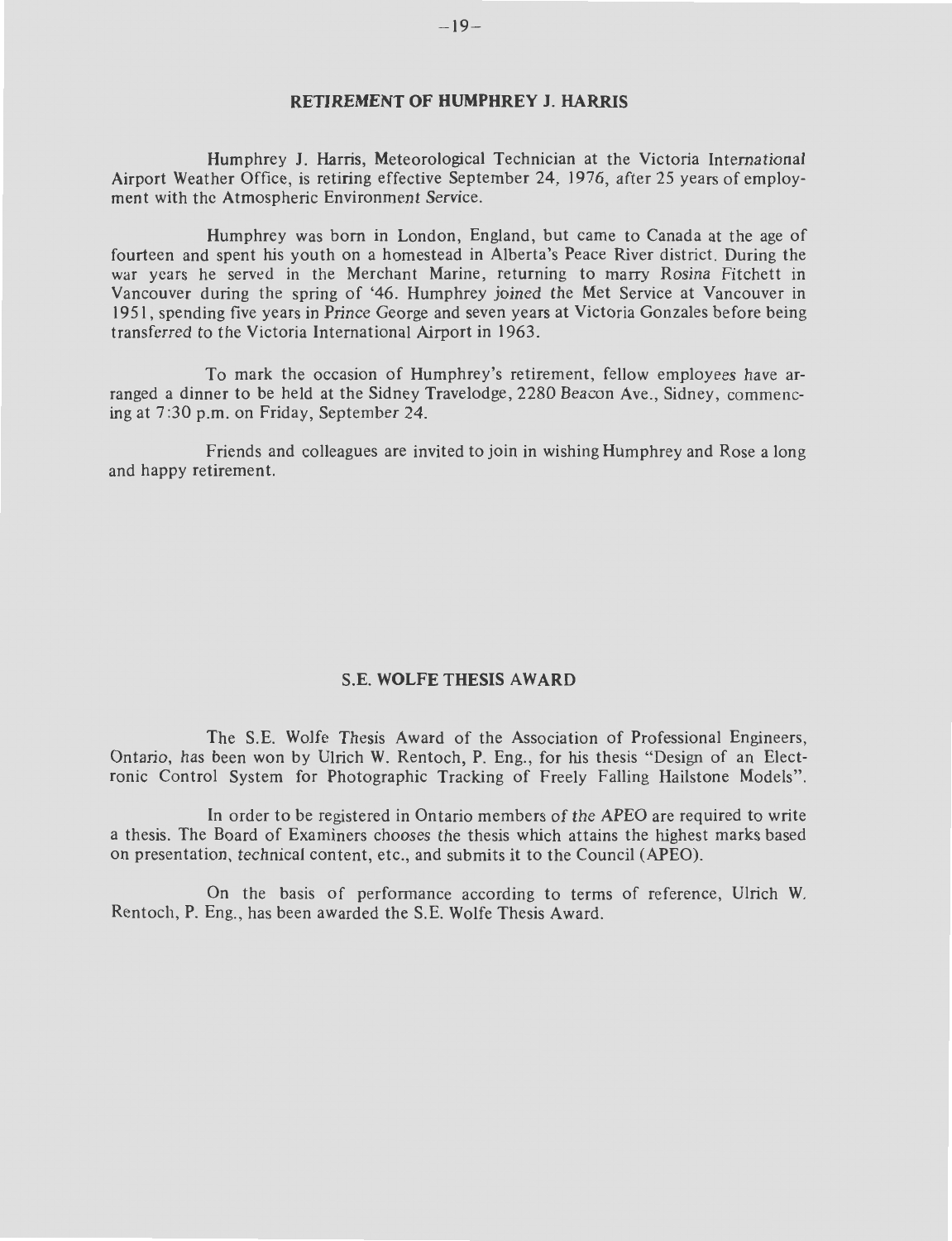#### **RETIREMENT OF HUMPHREY J. HARRIS**

Hum phrey J. Harris, Meteorological Technician at the Victoria International Airport Weather Office, is retiring effective September 24, 1976, after 25 years of employment with the Atmospheric Environment Service.

Humphrey was born in London, England, but came to Canada at the age of fourteen and spent his youth on a homestead in Alberta's Peace River district. During the war years he served in the Merchant Marine, returning to marry Rosina Fitchett in Vancouver during the spring of '46 . Humphrey joined the Met Service at Vancouver in 19 51 , spending five years in Prince George and seven years at Victoria Gonzales before being transferred to the Victoria International Airport in 1963.

To mark the occasion of Humphrey's retirement, fellow employees have arranged a dinner to be held at the Sidney Travelodge, 2280 Beacon Ave., Sidney, commencing at 7 :30 p.m. on Friday, September 24.

Friends and colleagues are invited to join in wishing Humphrey and Rose a long and happy retirement.

#### **S.E. WOLFE THESIS AWARD** -

The S.E. Wolfe Thesis Award of the Association of Professional Engineers, Ontario, has been won by Ulrich W. Rentoch, P. Eng., for his thesis "Design of an Electronic Control System for Photographic Tracking of Freely Falling Hailstone Models".

In order to be registered in Ontario members of the APEO are required to write a thesis. The Board of Examiners chooses the thesis which attains the highest marks based on presentation, technical content, etc., and submits it to the Council (APEO).

On the basis of performance according to terms of reference, Ulrich W. Rentoch, P. Eng., has been awarded the S.E. Wolfe Thesis Award.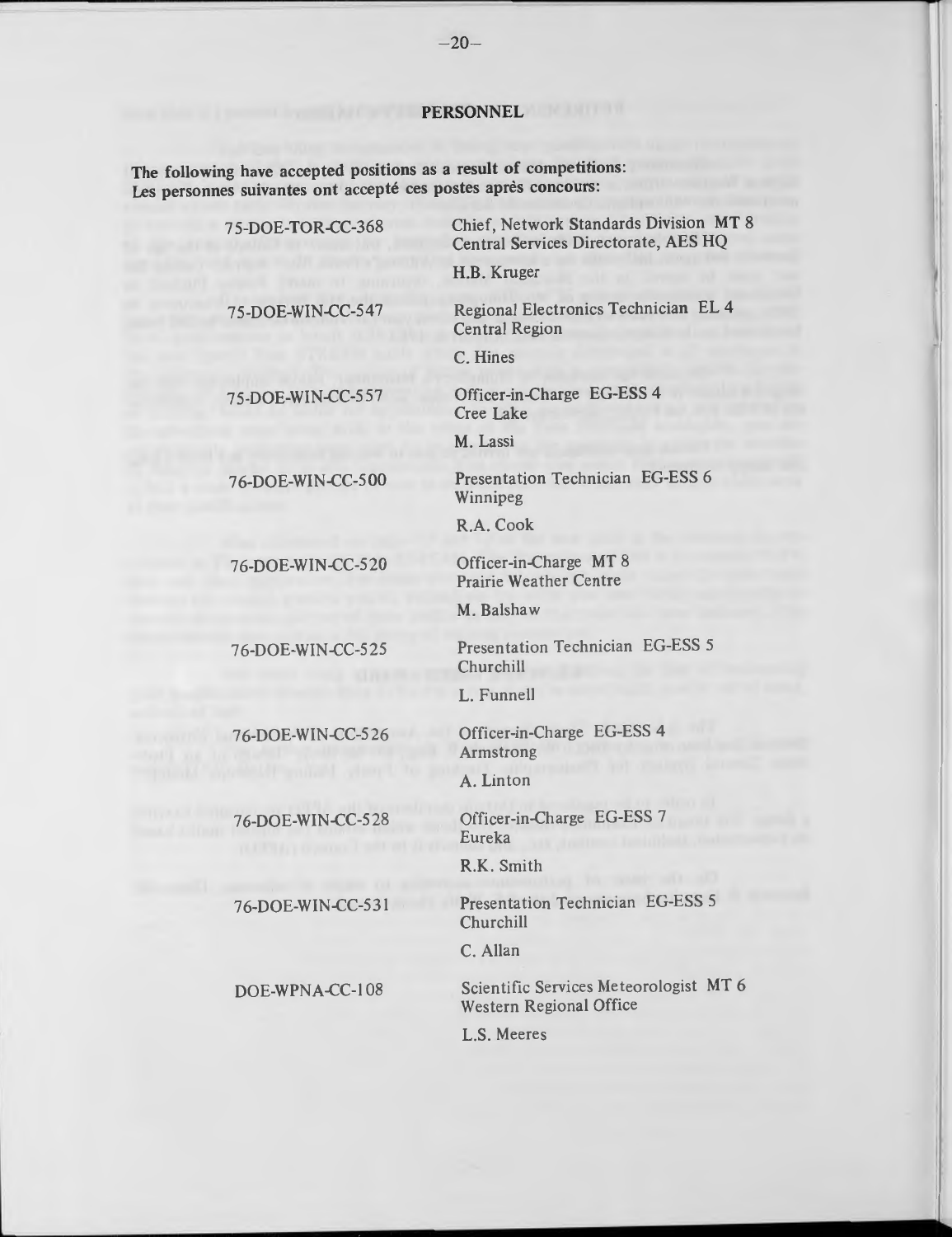# **PERSONNEL**

**The following have accepted positions as a result of competitions:**  Les personnes suivantes ont accepté ces postes après concours:

> 75-DOE-TOR-CC-368 Chief, Network Standards Division MT 8 Central Services Directorate, AES HQ

> > H.B. Kruger

75-DOE-WIN-CC-547

75-DOE-WIN-CC-557

Regional Electronics Technician EL 4 Central Region

C. Hines

Officer-in-Charge EG-ESS 4 Cree Lake

M. Lassi

Presentation Technician EG-ESS 6 Winnipeg

R.A. Cook

Officer-in-Charge MT 8 Prairie Weather Centre

M. Balshaw

Presentation Technician EG-ESS 5 Churchill

L. Funnell

Officer-in-Charge EG-ESS 4 Armstrong

A. Linton

Officer-in-Charge EG-ESS 7 Eureka

R.K. Smith

Presentation Technician EG-ESS 5 Churchill

C. Allan

Scientific Services Me teorologist MT 6 Western Regional Office

L.S. Meeres

76-DOE-WIN-CC-5 00

76-DOE-WIN-CC-520

76-DOE-WIN-CC-525

76-DOE-WIN-CC-526

76-DOE-WIN-CC-528

76-DOE-WIN-CC-531

DOE-WPNA-CC-108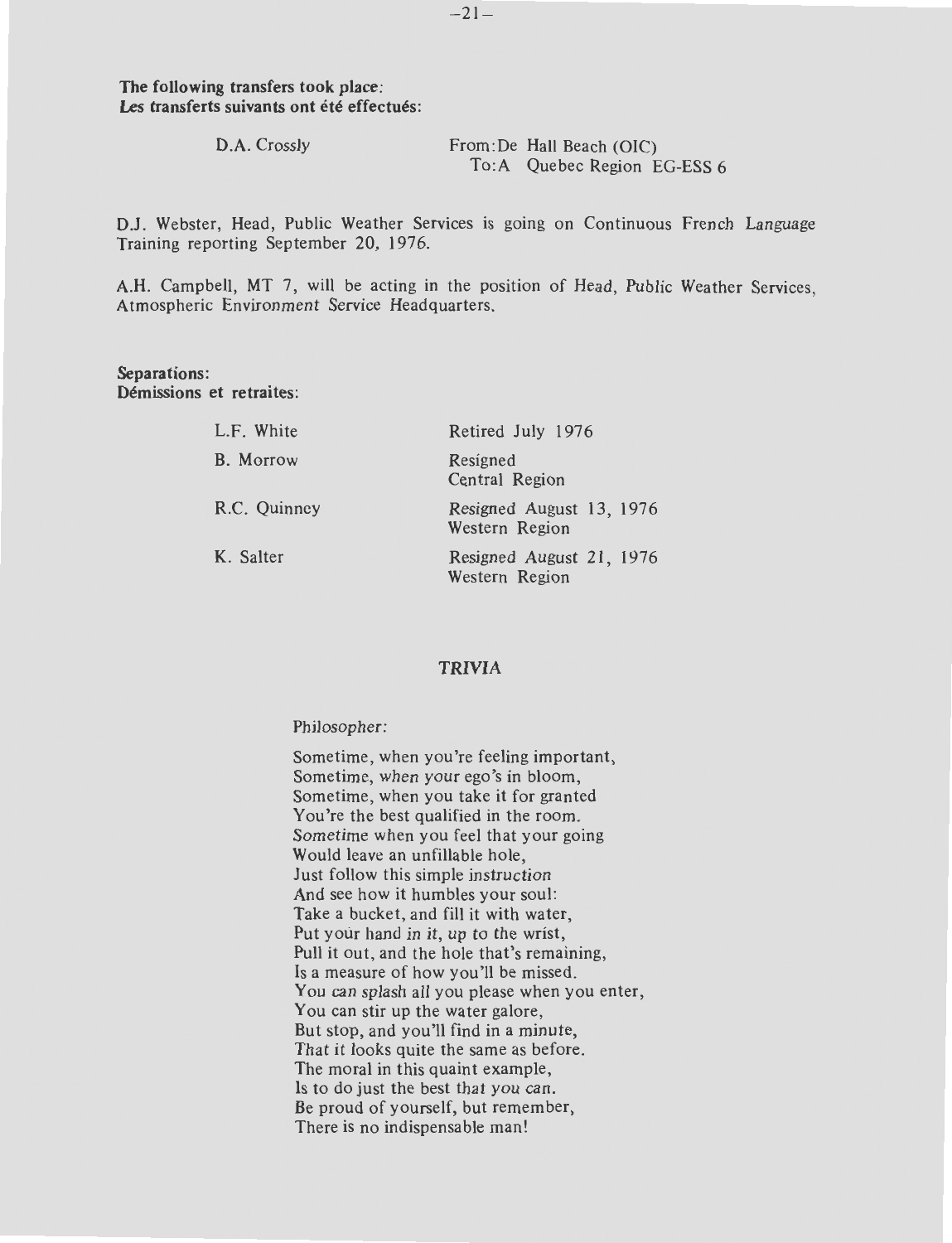| D.A. Crossly | From: De Hall Beach (OIC)   |  |
|--------------|-----------------------------|--|
|              | To:A Quebec Region EG-ESS 6 |  |

D.J. Webster, Head, Public Weather Services is going on Continuous French Language Training reporting September 20, 1976.

**A.H .** Campbell, **MT** 7, will be acting in the position of Head, Public Weather Services, Atmospheric Environment Service Headquarters.

#### **Separations: Demissions et retraites:**

| L.F. White   | Retired July 1976                          |
|--------------|--------------------------------------------|
| B. Morrow    | Resigned<br>Central Region                 |
| R.C. Quinney | Resigned August 13, 1976<br>Western Region |
| K. Salter    | Resigned August 21, 1976<br>Western Region |

#### **TRIVIA**

#### Philosopher:

Sometime, when you're feeling important, Sometime, when your ego's in bloom, Sometime, when you take it for granted You 're the best qualified in the room. Sometime when you feel that your going Would leave an unfillable hole, Just follow this simple instruction And see how it humbles your soul: Take a bucket, and fill it with water, Put your hand in it, up to the wrist, Pull it out, and the hole that's remaining, Is a measure of how you 'II be missed. You can splash all you please when you enter, You can stir up the water galore, But stop, and you'll find in a minute, That it looks quite the same as before. The moral in this quaint example, ls to do just the best that you can. Be proud of yourself, but remember, There is no indispensable man!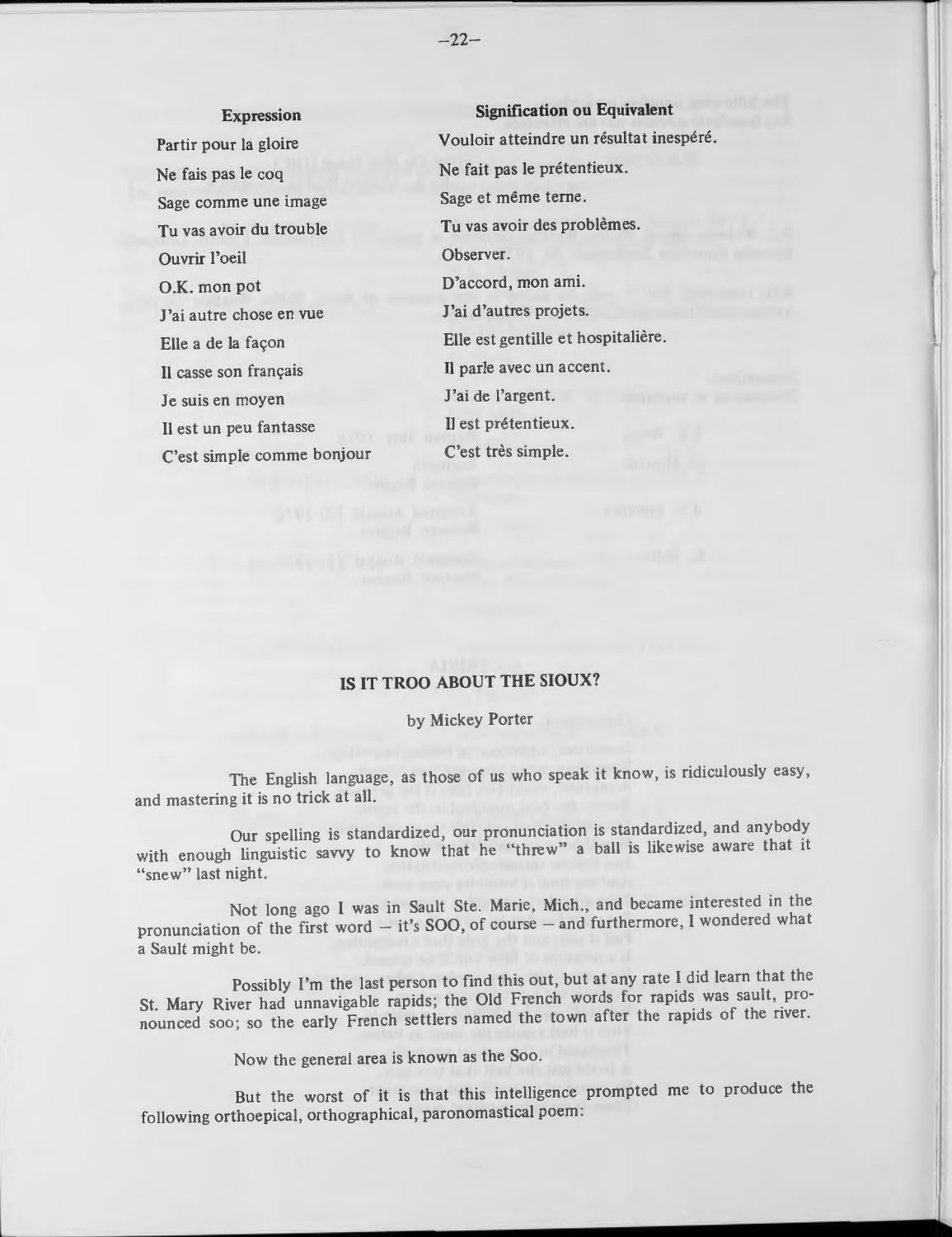# **Expression**

Partir pour la gloire Ne fais pas le coq Sage comme une image Tu vas avoir du trouble Ouvrir l'oeil O.K. mon pot J'ai autre chose en vue Elle a de la façon Il casse son français Je suis en moyen Il est un peu fantasse C'est simple comme bonjour

**Signification ou Equivalent**  Vouloir atteindre un résultat inespéré. Ne fait pas le pretentieux. Sage et même terne. Tu vas avoir des problèmes. Observer. D'accord, mon ami. J'ai d'autres projets. Elle est gentille et hospitalière. II parle avec un accent. J'ai de !'argent. 11 est pretentieux. C'est très simple.

# IS IT **TROO ABOUT THE SIOUX?**

#### by Mickey Porter

The English language, as those of us who speak it know, is ridiculously easy, and mastering it is no trick at all.

Our spelling is standardized, our pronunciation is standardized, and anybody with enough linguistic savvy to know that he "threw" a ball is likewise aware that it "snew" last night.

Not long ago I was in Sault Ste. Marie, Mich., and became interested in the pronunciation of the first word  $-$  it's SOO, of course  $-$  and furthermore, I wondered what a Sault might be.

Possibly I'm the last person to find this out, but at any rate I did learn that the St. Mary River had unnavigable rapids; the Old French words for rapids was sault, pronounced soo; so the early French settlers named the town after the rapids of the river.

Now the general area is known as the Soo.

But the worst of it is that this intelligence prompted me to produce the following orthoepical, orthographical, paronomastical poem: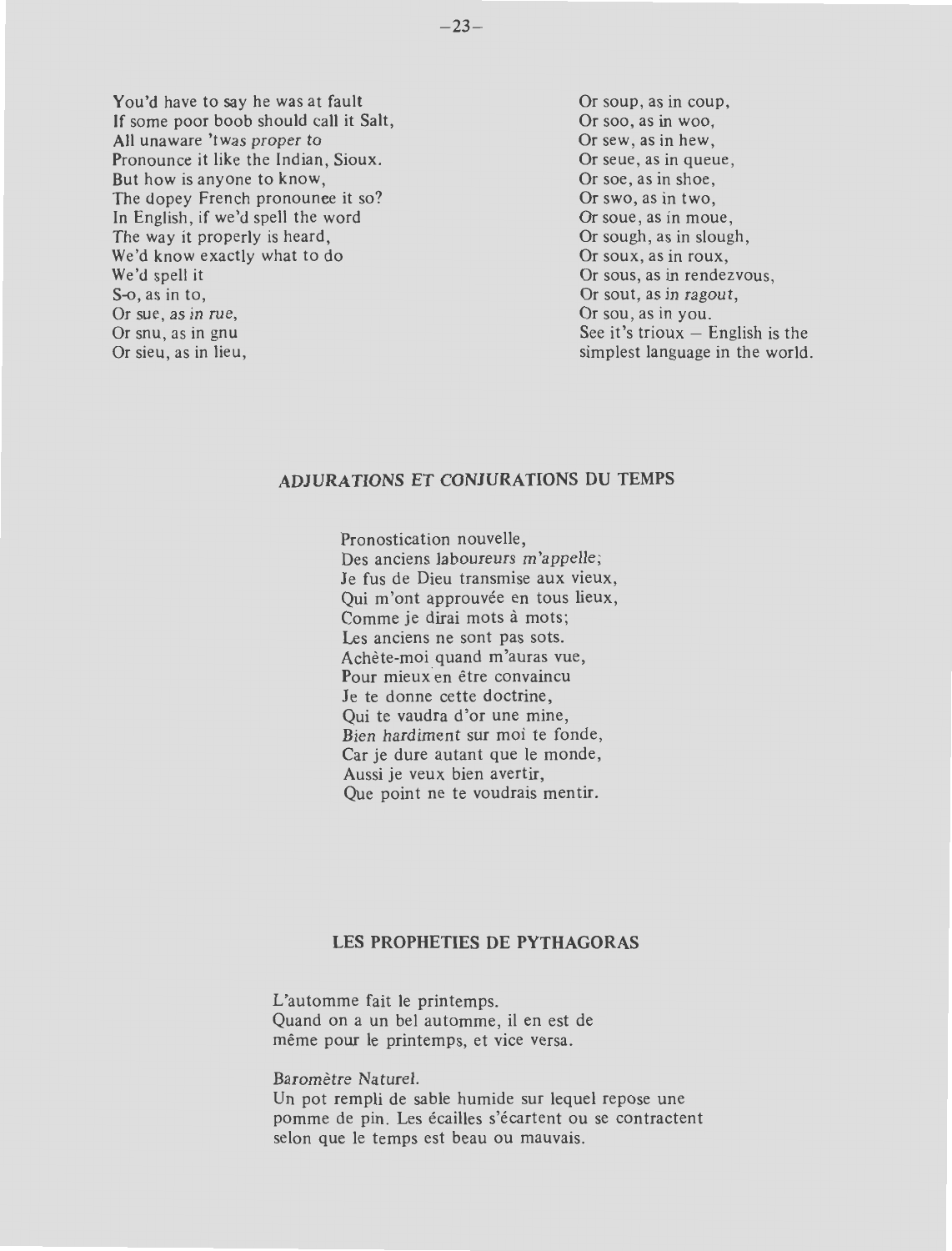You'd have to say he was at fault Or soup, as in coup,<br>If some poor boob should call it Salt, Or soo, as in woo, If some poor boob should call it Salt, All unaware 'twas proper to Pronounce it like the Indian, Sioux. But how is anyone to know, The dopey French pronounee it so? In English, if we'd spell the word The way it properly is heard, We'd know exactly what to do We'd spell it We'd spell it<br>
S-0, as in to,<br>
S-0, as in to,<br>
Or sout, as in ragout, Or sue, as in rue, Or snu, as in gnu Or sieu, as in lieu,

Or sew, as in hew, Or seue, as in queue, Or soe, as in shoe, Or swo, as in two, Or soue, as in moue, Or sough, as in slough,<br>Or soux, as in roux, Or sout, as in ragout, Or sou, as in you. See it's trioux  $-$  English is the simplest language in the world.

# **ADJURATIONS ET CONJURATIONS DU TEMPS**

Pronostication nouvelle, Des anciens laboureurs m'appelle; Je fus de Dieu transmise aux vieux, Qui m'ont approuvée en tous lieux, Comme je dirai mots à mots; Les anciens ne sont pas sots. Achete-moi quand m 'auras vue, Pour mieux en être convaincu Je te donne cette doctrine, Qui te vaudra d'or une mine, Bien hardiment sur moi te fonde, Car je dure autant que le monde, Aussi je veux bien avertir, Que point ne te voudrais mentir.

#### **LES PROPHETIES DE PYTHAGORAS**

L'automme fait le printemps. Quand on a un bel automme, ii en est de même pour le printemps, et vice versa.

Baromètre Naturel. Un pot rempli de sable humide sur lequel repose une pomme de pin. Les écailles s'écartent ou se contractent selon que le temps est beau ou mauvais.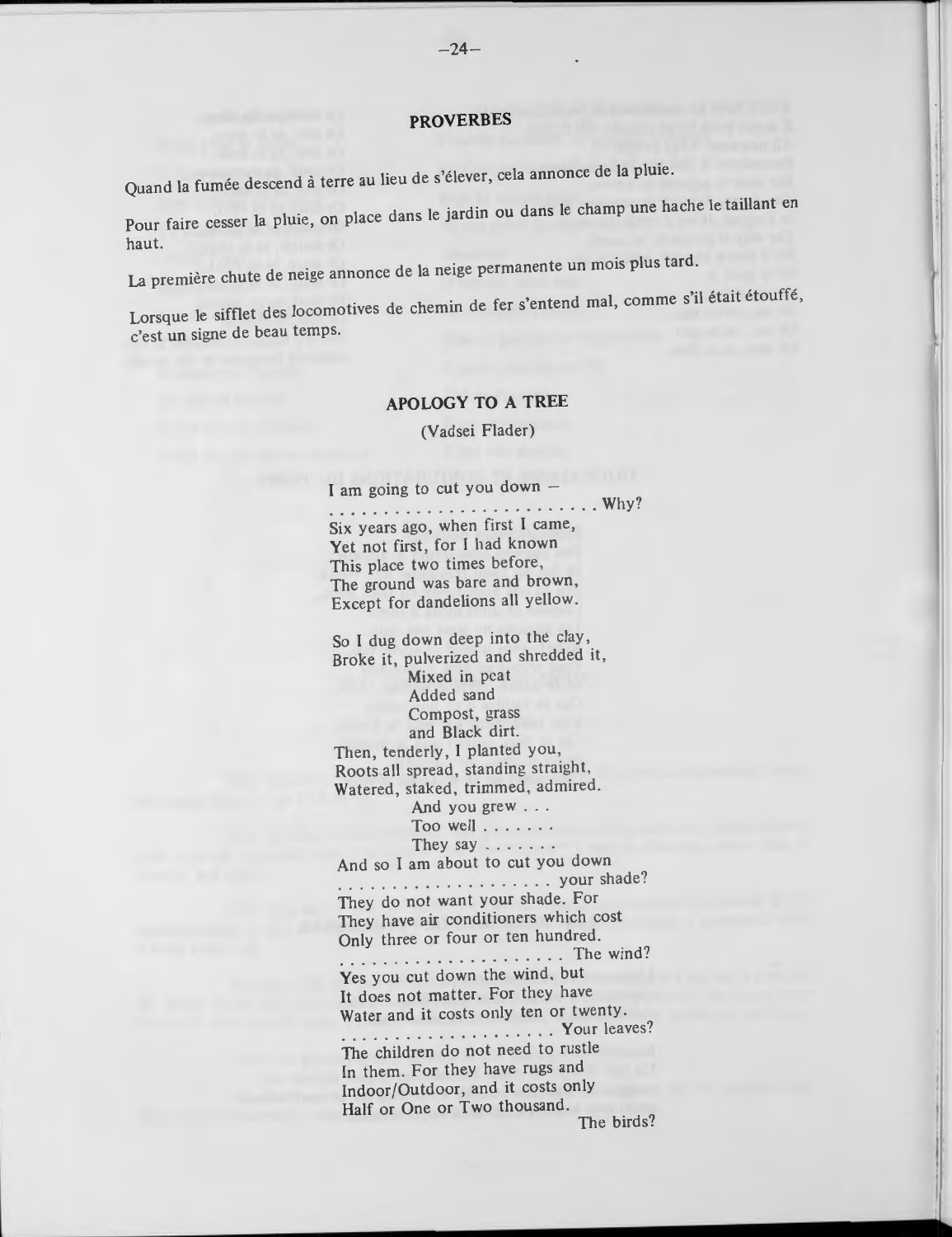#### **PROVERBES**

Quand la fumée descend à terre au lieu de s'élever, cela annonce de la pluie.

Pour faire cesser la pluie, on place dans le jardin ou dans le champ une hache le taillant en haut.

La première chute de neige annonce de la neige permanente un mois plus tard.

Lorsque le sifflet des locomotives de chemin de fer s'entend mal, comme s'il était étouffé, c'est un signe de beau temps.

## **APOLOGY TO A TREE**

(Yadsei Flader)

I am going to cut you down  $-$ 

· · · · · · · .... ... ........... Why? **Six** years ago, when first 1 came, Yet not first, for I had known This place two times before, The ground was bare and brown, Except for dandelions all yellow.

So I dug down deep into the clay, Broke it, pulverized and shredded it, Mixed in peat Added sand Compost, grass and Black dirt. Then, tenderly, I planted you, Roots all spread, standing straight, Watered, staked, trimmed, admired. And you grew .. . Too well  $\dots$ .... They say  $\ldots$ ... And so I am about to cut you down ..... .. ... . . . .. . . ... your shade? They do not want your shade. For They have air conditioners which cost Only three or four or ten hundred. . . . . . . . . . . . . . . . . . . . . . The wind? Yes you cut down the wind, but It does not matter. For they have Water and it costs only ten or twenty. . . . . . . . . . . . . . . . . . . . . Your leaves? The children do not need to rustle In them. For they have rugs and Indoor/Outdoor, and it costs only Half or One or Two thousand.